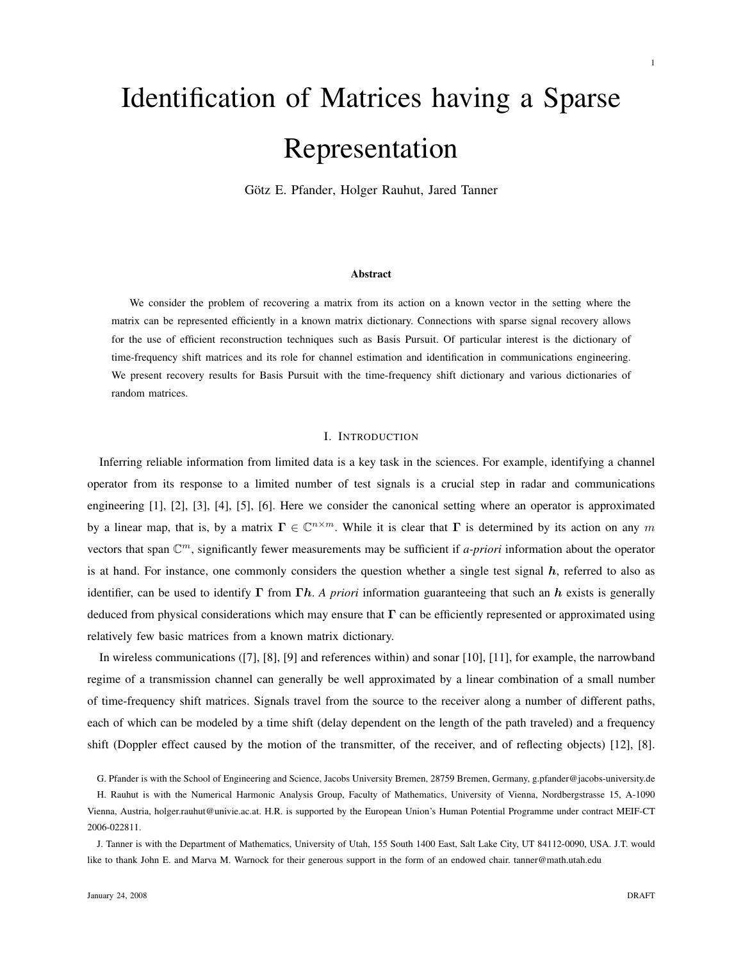# Identification of Matrices having a Sparse Representation

Götz E. Pfander, Holger Rauhut, Jared Tanner

## Abstract

We consider the problem of recovering a matrix from its action on a known vector in the setting where the matrix can be represented efficiently in a known matrix dictionary. Connections with sparse signal recovery allows for the use of efficient reconstruction techniques such as Basis Pursuit. Of particular interest is the dictionary of time-frequency shift matrices and its role for channel estimation and identification in communications engineering. We present recovery results for Basis Pursuit with the time-frequency shift dictionary and various dictionaries of random matrices.

## I. INTRODUCTION

Inferring reliable information from limited data is a key task in the sciences. For example, identifying a channel operator from its response to a limited number of test signals is a crucial step in radar and communications engineering [1], [2], [3], [4], [5], [6]. Here we consider the canonical setting where an operator is approximated by a linear map, that is, by a matrix  $\Gamma \in \mathbb{C}^{n \times m}$ . While it is clear that  $\Gamma$  is determined by its action on any m vectors that span  $\mathbb{C}^m$ , significantly fewer measurements may be sufficient if *a-priori* information about the operator is at hand. For instance, one commonly considers the question whether a single test signal  $h$ , referred to also as identifier, can be used to identify  $\Gamma$  from  $\Gamma h$ . *A priori* information guaranteeing that such an h exists is generally deduced from physical considerations which may ensure that  $\Gamma$  can be efficiently represented or approximated using relatively few basic matrices from a known matrix dictionary.

In wireless communications ([7], [8], [9] and references within) and sonar [10], [11], for example, the narrowband regime of a transmission channel can generally be well approximated by a linear combination of a small number of time-frequency shift matrices. Signals travel from the source to the receiver along a number of different paths, each of which can be modeled by a time shift (delay dependent on the length of the path traveled) and a frequency shift (Doppler effect caused by the motion of the transmitter, of the receiver, and of reflecting objects) [12], [8].

G. Pfander is with the School of Engineering and Science, Jacobs University Bremen, 28759 Bremen, Germany, g.pfander@jacobs-university.de

H. Rauhut is with the Numerical Harmonic Analysis Group, Faculty of Mathematics, University of Vienna, Nordbergstrasse 15, A-1090 Vienna, Austria, holger.rauhut@univie.ac.at. H.R. is supported by the European Union's Human Potential Programme under contract MEIF-CT 2006-022811.

J. Tanner is with the Department of Mathematics, University of Utah, 155 South 1400 East, Salt Lake City, UT 84112-0090, USA. J.T. would like to thank John E. and Marva M. Warnock for their generous support in the form of an endowed chair. tanner@math.utah.edu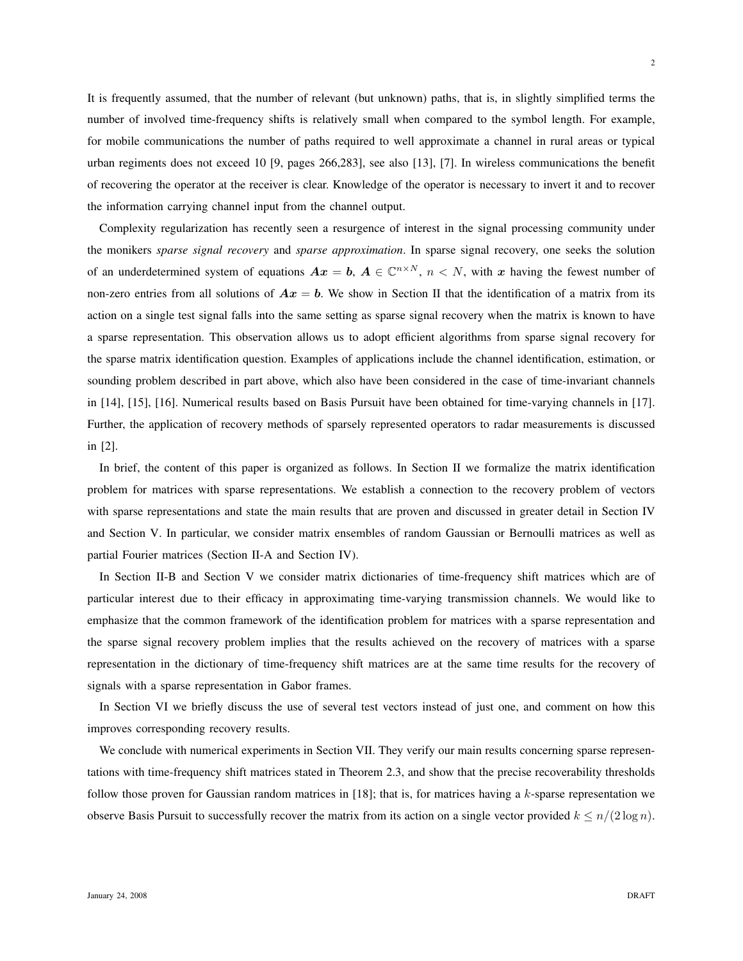It is frequently assumed, that the number of relevant (but unknown) paths, that is, in slightly simplified terms the number of involved time-frequency shifts is relatively small when compared to the symbol length. For example, for mobile communications the number of paths required to well approximate a channel in rural areas or typical urban regiments does not exceed 10 [9, pages 266,283], see also [13], [7]. In wireless communications the benefit of recovering the operator at the receiver is clear. Knowledge of the operator is necessary to invert it and to recover the information carrying channel input from the channel output.

Complexity regularization has recently seen a resurgence of interest in the signal processing community under the monikers *sparse signal recovery* and *sparse approximation*. In sparse signal recovery, one seeks the solution of an underdetermined system of equations  $Ax = b$ ,  $A \in \mathbb{C}^{n \times N}$ ,  $n < N$ , with x having the fewest number of non-zero entries from all solutions of  $Ax = b$ . We show in Section II that the identification of a matrix from its action on a single test signal falls into the same setting as sparse signal recovery when the matrix is known to have a sparse representation. This observation allows us to adopt efficient algorithms from sparse signal recovery for the sparse matrix identification question. Examples of applications include the channel identification, estimation, or sounding problem described in part above, which also have been considered in the case of time-invariant channels in [14], [15], [16]. Numerical results based on Basis Pursuit have been obtained for time-varying channels in [17]. Further, the application of recovery methods of sparsely represented operators to radar measurements is discussed in [2].

In brief, the content of this paper is organized as follows. In Section II we formalize the matrix identification problem for matrices with sparse representations. We establish a connection to the recovery problem of vectors with sparse representations and state the main results that are proven and discussed in greater detail in Section IV and Section V. In particular, we consider matrix ensembles of random Gaussian or Bernoulli matrices as well as partial Fourier matrices (Section II-A and Section IV).

In Section II-B and Section V we consider matrix dictionaries of time-frequency shift matrices which are of particular interest due to their efficacy in approximating time-varying transmission channels. We would like to emphasize that the common framework of the identification problem for matrices with a sparse representation and the sparse signal recovery problem implies that the results achieved on the recovery of matrices with a sparse representation in the dictionary of time-frequency shift matrices are at the same time results for the recovery of signals with a sparse representation in Gabor frames.

In Section VI we briefly discuss the use of several test vectors instead of just one, and comment on how this improves corresponding recovery results.

We conclude with numerical experiments in Section VII. They verify our main results concerning sparse representations with time-frequency shift matrices stated in Theorem 2.3, and show that the precise recoverability thresholds follow those proven for Gaussian random matrices in [18]; that is, for matrices having a k-sparse representation we observe Basis Pursuit to successfully recover the matrix from its action on a single vector provided  $k \leq n/(2 \log n)$ .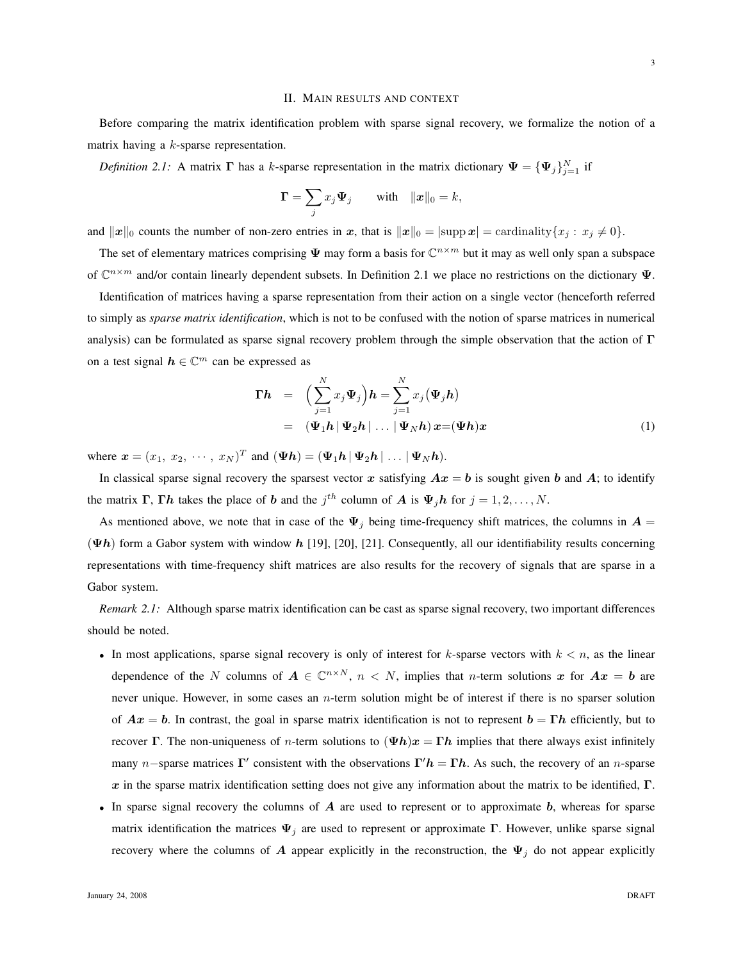#### II. MAIN RESULTS AND CONTEXT

Before comparing the matrix identification problem with sparse signal recovery, we formalize the notion of a matrix having a k-sparse representation.

*Definition 2.1:* A matrix  $\Gamma$  has a k-sparse representation in the matrix dictionary  $\Psi = {\Psi_j}_{j=1}^N$  if

$$
\mathbf{\Gamma} = \sum_j x_j \Psi_j \qquad \text{with} \quad ||\mathbf{x}||_0 = k,
$$

and  $||x||_0$  counts the number of non-zero entries in x, that is  $||x||_0 = |\text{supp } x| = \text{cardinality}\{x_j : x_j \neq 0\}.$ 

The set of elementary matrices comprising  $\Psi$  may form a basis for  $\mathbb{C}^{n \times m}$  but it may as well only span a subspace of  $\mathbb{C}^{n \times m}$  and/or contain linearly dependent subsets. In Definition 2.1 we place no restrictions on the dictionary  $\Psi$ .

Identification of matrices having a sparse representation from their action on a single vector (henceforth referred to simply as *sparse matrix identification*, which is not to be confused with the notion of sparse matrices in numerical analysis) can be formulated as sparse signal recovery problem through the simple observation that the action of  $\Gamma$ on a test signal  $h \in \mathbb{C}^m$  can be expressed as

$$
\begin{array}{rcl}\n\Gamma h & = & \Big(\sum_{j=1}^{N} x_j \Psi_j\Big) h = \sum_{j=1}^{N} x_j (\Psi_j h) \\
& = & (\Psi_1 h \, | \, \Psi_2 h \, | \, \dots \, | \, \Psi_N h) \, x = (\Psi h) x\n\end{array}\n\tag{1}
$$

where  $\mathbf{x} = (x_1, x_2, \cdots, x_N)^T$  and  $(\boldsymbol{\Psi} \boldsymbol{h}) = (\boldsymbol{\Psi}_1 \boldsymbol{h} | \boldsymbol{\Psi}_2 \boldsymbol{h} | \ldots | \boldsymbol{\Psi}_N \boldsymbol{h}).$ 

In classical sparse signal recovery the sparsest vector x satisfying  $Ax = b$  is sought given b and A; to identify the matrix  $\Gamma$ ,  $\Gamma h$  takes the place of b and the  $j<sup>th</sup>$  column of A is  $\Psi_j h$  for  $j = 1, 2, ..., N$ .

As mentioned above, we note that in case of the  $\Psi_i$  being time-frequency shift matrices, the columns in  $A =$  $(\Psi h)$  form a Gabor system with window h [19], [20], [21]. Consequently, all our identifiability results concerning representations with time-frequency shift matrices are also results for the recovery of signals that are sparse in a Gabor system.

*Remark 2.1:* Although sparse matrix identification can be cast as sparse signal recovery, two important differences should be noted.

- In most applications, sparse signal recovery is only of interest for  $k$ -sparse vectors with  $k < n$ , as the linear dependence of the N columns of  $A \in \mathbb{C}^{n \times N}$ ,  $n < N$ , implies that n-term solutions x for  $Ax = b$  are never unique. However, in some cases an n-term solution might be of interest if there is no sparser solution of  $Ax = b$ . In contrast, the goal in sparse matrix identification is not to represent  $b = \Gamma h$  efficiently, but to recover Γ. The non-uniqueness of *n*-term solutions to  $(\Psi h)x = \Gamma h$  implies that there always exist infinitely many *n*−sparse matrices  $\Gamma'$  consistent with the observations  $\Gamma'h = \Gamma h$ . As such, the recovery of an *n*-sparse x in the sparse matrix identification setting does not give any information about the matrix to be identified,  $\Gamma$ .
- In sparse signal recovery the columns of  $A$  are used to represent or to approximate  $b$ , whereas for sparse matrix identification the matrices  $\Psi_j$  are used to represent or approximate Γ. However, unlike sparse signal recovery where the columns of A appear explicitly in the reconstruction, the  $\Psi_j$  do not appear explicitly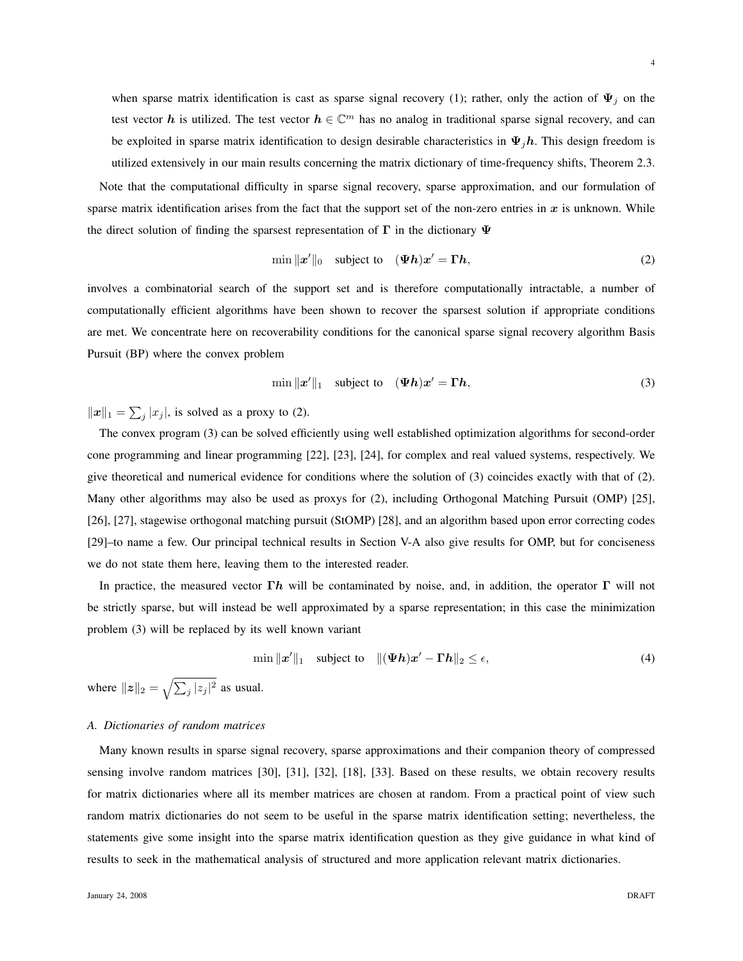when sparse matrix identification is cast as sparse signal recovery (1); rather, only the action of  $\Psi_j$  on the test vector h is utilized. The test vector  $h \in \mathbb{C}^m$  has no analog in traditional sparse signal recovery, and can be exploited in sparse matrix identification to design desirable characteristics in  $\Psi_j h$ . This design freedom is utilized extensively in our main results concerning the matrix dictionary of time-frequency shifts, Theorem 2.3.

Note that the computational difficulty in sparse signal recovery, sparse approximation, and our formulation of sparse matrix identification arises from the fact that the support set of the non-zero entries in  $x$  is unknown. While the direct solution of finding the sparsest representation of  $\Gamma$  in the dictionary  $\Psi$ 

$$
\min \|x'\|_0 \quad \text{subject to} \quad (\Psi h)x' = \Gamma h,\tag{2}
$$

involves a combinatorial search of the support set and is therefore computationally intractable, a number of computationally efficient algorithms have been shown to recover the sparsest solution if appropriate conditions are met. We concentrate here on recoverability conditions for the canonical sparse signal recovery algorithm Basis Pursuit (BP) where the convex problem

$$
\min ||x'||_1 \quad \text{subject to} \quad (\Psi h)x' = \Gamma h,\tag{3}
$$

 $||x||_1 = \sum_j |x_j|$ , is solved as a proxy to (2).

The convex program (3) can be solved efficiently using well established optimization algorithms for second-order cone programming and linear programming [22], [23], [24], for complex and real valued systems, respectively. We give theoretical and numerical evidence for conditions where the solution of (3) coincides exactly with that of (2). Many other algorithms may also be used as proxys for (2), including Orthogonal Matching Pursuit (OMP) [25], [26], [27], stagewise orthogonal matching pursuit (StOMP) [28], and an algorithm based upon error correcting codes [29]–to name a few. Our principal technical results in Section V-A also give results for OMP, but for conciseness we do not state them here, leaving them to the interested reader.

In practice, the measured vector  $\Gamma h$  will be contaminated by noise, and, in addition, the operator  $\Gamma$  will not be strictly sparse, but will instead be well approximated by a sparse representation; in this case the minimization problem (3) will be replaced by its well known variant

$$
\min \|x'\|_1 \quad \text{subject to} \quad \|(\Psi h)x' - \Gamma h\|_2 \le \epsilon,\tag{4}
$$

where  $||z||_2 = \sqrt{\sum_j |z_j|^2}$  as usual.

## *A. Dictionaries of random matrices*

Many known results in sparse signal recovery, sparse approximations and their companion theory of compressed sensing involve random matrices [30], [31], [32], [18], [33]. Based on these results, we obtain recovery results for matrix dictionaries where all its member matrices are chosen at random. From a practical point of view such random matrix dictionaries do not seem to be useful in the sparse matrix identification setting; nevertheless, the statements give some insight into the sparse matrix identification question as they give guidance in what kind of results to seek in the mathematical analysis of structured and more application relevant matrix dictionaries.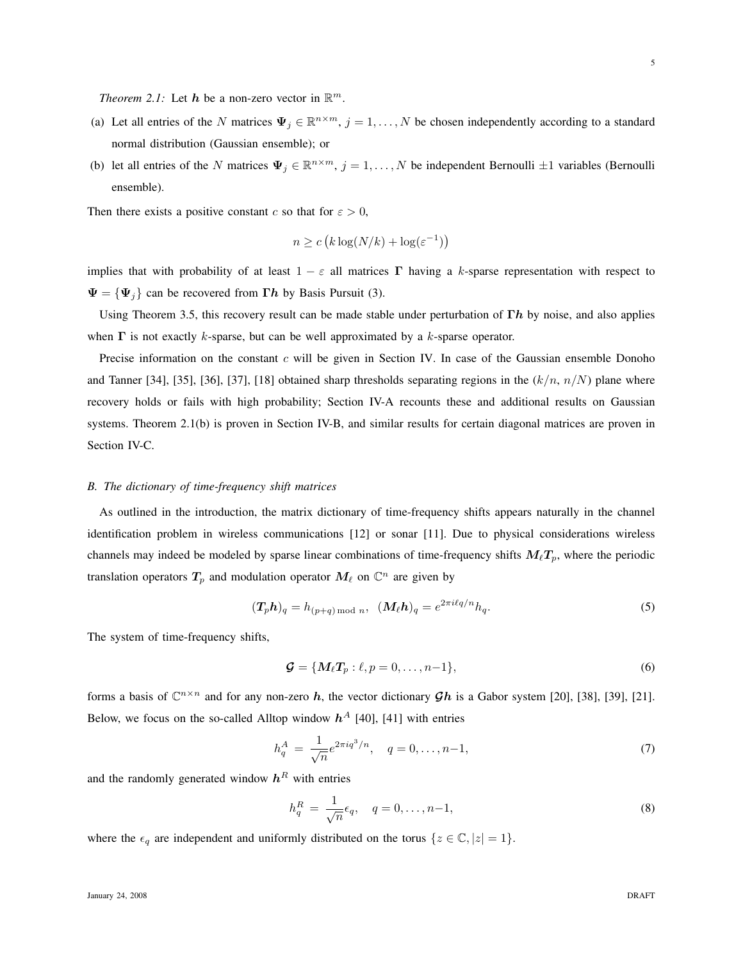*Theorem 2.1:* Let  $h$  be a non-zero vector in  $\mathbb{R}^m$ .

- (a) Let all entries of the N matrices  $\Psi_j \in \mathbb{R}^{n \times m}$ ,  $j = 1, ..., N$  be chosen independently according to a standard normal distribution (Gaussian ensemble); or
- (b) let all entries of the N matrices  $\Psi_j \in \mathbb{R}^{n \times m}$ ,  $j = 1, ..., N$  be independent Bernoulli  $\pm 1$  variables (Bernoulli ensemble).

Then there exists a positive constant c so that for  $\varepsilon > 0$ ,

$$
n \ge c \left( k \log(N/k) + \log(\varepsilon^{-1}) \right)
$$

implies that with probability of at least  $1 - \varepsilon$  all matrices Γ having a k-sparse representation with respect to  $\Psi = {\Psi_i}$  can be recovered from  $\Gamma h$  by Basis Pursuit (3).

Using Theorem 3.5, this recovery result can be made stable under perturbation of  $\Gamma h$  by noise, and also applies when  $\Gamma$  is not exactly k-sparse, but can be well approximated by a k-sparse operator.

Precise information on the constant  $c$  will be given in Section IV. In case of the Gaussian ensemble Donoho and Tanner [34], [35], [36], [37], [18] obtained sharp thresholds separating regions in the  $(k/n, n/N)$  plane where recovery holds or fails with high probability; Section IV-A recounts these and additional results on Gaussian systems. Theorem 2.1(b) is proven in Section IV-B, and similar results for certain diagonal matrices are proven in Section IV-C.

## *B. The dictionary of time-frequency shift matrices*

As outlined in the introduction, the matrix dictionary of time-frequency shifts appears naturally in the channel identification problem in wireless communications [12] or sonar [11]. Due to physical considerations wireless channels may indeed be modeled by sparse linear combinations of time-frequency shifts  $M_\ell T_p$ , where the periodic translation operators  $T_p$  and modulation operator  $M_\ell$  on  $\mathbb{C}^n$  are given by

$$
(\mathbf{T}_p \mathbf{h})_q = h_{(p+q) \bmod n}, \ \ (\mathbf{M}_\ell \mathbf{h})_q = e^{2\pi i \ell q/n} h_q. \tag{5}
$$

The system of time-frequency shifts,

$$
\mathcal{G} = \{M_{\ell}T_p : \ell, p = 0, \dots, n-1\},\tag{6}
$$

forms a basis of  $\mathbb{C}^{n \times n}$  and for any non-zero h, the vector dictionary  $\mathcal{G}h$  is a Gabor system [20], [38], [39], [21]. Below, we focus on the so-called Alltop window  $h^A$  [40], [41] with entries

$$
h_q^A = \frac{1}{\sqrt{n}} e^{2\pi i q^3/n}, \quad q = 0, \dots, n-1,
$$
\n(7)

and the randomly generated window  $h<sup>R</sup>$  with entries

$$
h_q^R = \frac{1}{\sqrt{n}} \epsilon_q, \quad q = 0, \dots, n-1,
$$
\n(8)

where the  $\epsilon_q$  are independent and uniformly distributed on the torus  $\{z \in \mathbb{C}, |z| = 1\}.$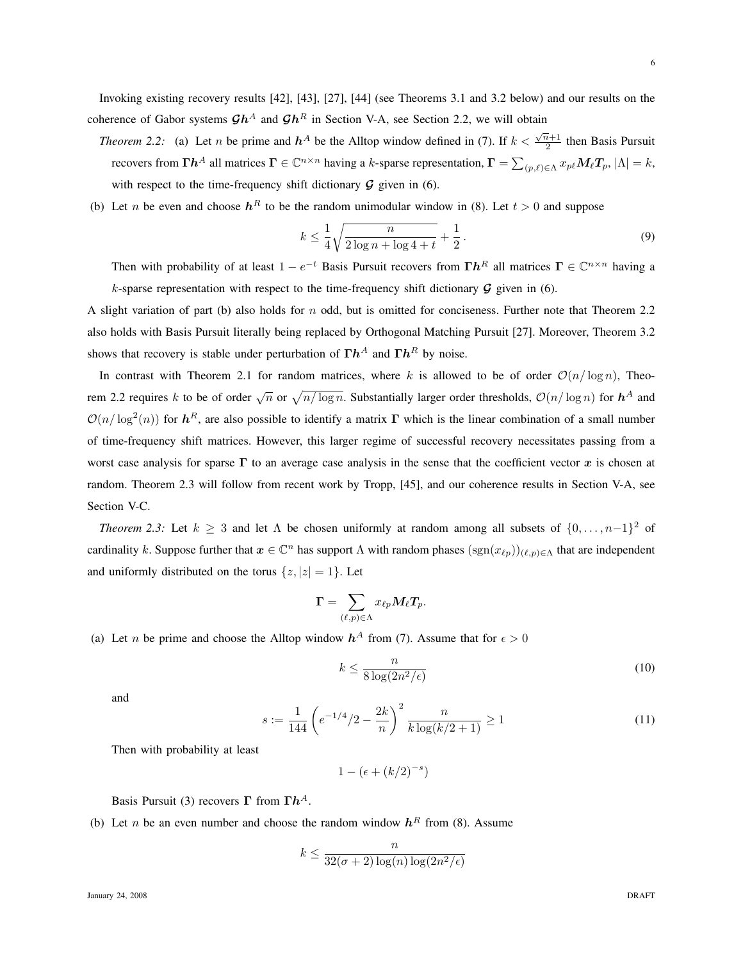6

- Invoking existing recovery results [42], [43], [27], [44] (see Theorems 3.1 and 3.2 below) and our results on the coherence of Gabor systems  $\mathcal{G}h^A$  and  $\mathcal{G}h^R$  in Section V-A, see Section 2.2, we will obtain
	- *Theorem 2.2:* (a) Let *n* be prime and  $h^A$  be the Alltop window defined in (7). If  $k < \frac{\sqrt{n}+1}{2}$  $\frac{1}{2}$  then Basis Pursuit recovers from  $\Gamma h^A$  all matrices  $\Gamma \in \mathbb{C}^{n \times n}$  having a k-sparse representation,  $\Gamma = \sum_{(p,\ell) \in \Lambda} x_{p\ell} M_\ell T_p$ ,  $|\Lambda| = k$ , with respect to the time-frequency shift dictionary  $\mathcal G$  given in (6).
- (b) Let *n* be even and choose  $h^R$  to be the random unimodular window in (8). Let  $t > 0$  and suppose

$$
k \le \frac{1}{4} \sqrt{\frac{n}{2 \log n + \log 4 + t}} + \frac{1}{2}.
$$
\n(9)

Then with probability of at least  $1 - e^{-t}$  Basis Pursuit recovers from  $\Gamma h^R$  all matrices  $\Gamma \in \mathbb{C}^{n \times n}$  having a k-sparse representation with respect to the time-frequency shift dictionary  $\mathcal G$  given in (6).

A slight variation of part (b) also holds for  $n$  odd, but is omitted for conciseness. Further note that Theorem 2.2 also holds with Basis Pursuit literally being replaced by Orthogonal Matching Pursuit [27]. Moreover, Theorem 3.2 shows that recovery is stable under perturbation of  $\Gamma h^A$  and  $\Gamma h^R$  by noise.

In contrast with Theorem 2.1 for random matrices, where k is allowed to be of order  $O(n/\log n)$ , Theorem 2.2 requires k to be of order  $\sqrt{n}$  or  $\sqrt{n/\log n}$ . Substantially larger order thresholds,  $\mathcal{O}(n/\log n)$  for  $\mathbf{h}^A$  and  $\mathcal{O}(n/\log^2(n))$  for  $h^R$ , are also possible to identify a matrix  $\Gamma$  which is the linear combination of a small number of time-frequency shift matrices. However, this larger regime of successful recovery necessitates passing from a worst case analysis for sparse  $\Gamma$  to an average case analysis in the sense that the coefficient vector x is chosen at random. Theorem 2.3 will follow from recent work by Tropp, [45], and our coherence results in Section V-A, see Section V-C.

*Theorem 2.3:* Let  $k \geq 3$  and let  $\Lambda$  be chosen uniformly at random among all subsets of  $\{0, \ldots, n-1\}^2$  of cardinality k. Suppose further that  $x \in \mathbb{C}^n$  has support  $\Lambda$  with random phases  $(\text{sgn}(x_{\ell p}))_{(\ell,p)\in\Lambda}$  that are independent and uniformly distributed on the torus  $\{z, |z| = 1\}$ . Let

$$
\mathbf{\Gamma} = \sum_{(\ell,p) \in \Lambda} x_{\ell p} \bm{M}_{\ell} \bm{T}_p.
$$

(a) Let *n* be prime and choose the Alltop window  $h^A$  from (7). Assume that for  $\epsilon > 0$ 

$$
k \le \frac{n}{8\log(2n^2/\epsilon)}\tag{10}
$$

and

$$
s := \frac{1}{144} \left( e^{-1/4} / 2 - \frac{2k}{n} \right)^2 \frac{n}{k \log(k/2 + 1)} \ge 1
$$
\n(11)

Then with probability at least

$$
1 - (\epsilon + (k/2)^{-s})
$$

Basis Pursuit (3) recovers  $\Gamma$  from  $\Gamma h^A$ .

(b) Let *n* be an even number and choose the random window  $h<sup>R</sup>$  from (8). Assume

$$
k \le \frac{n}{32(\sigma+2)\log(n)\log(2n^2/\epsilon)}
$$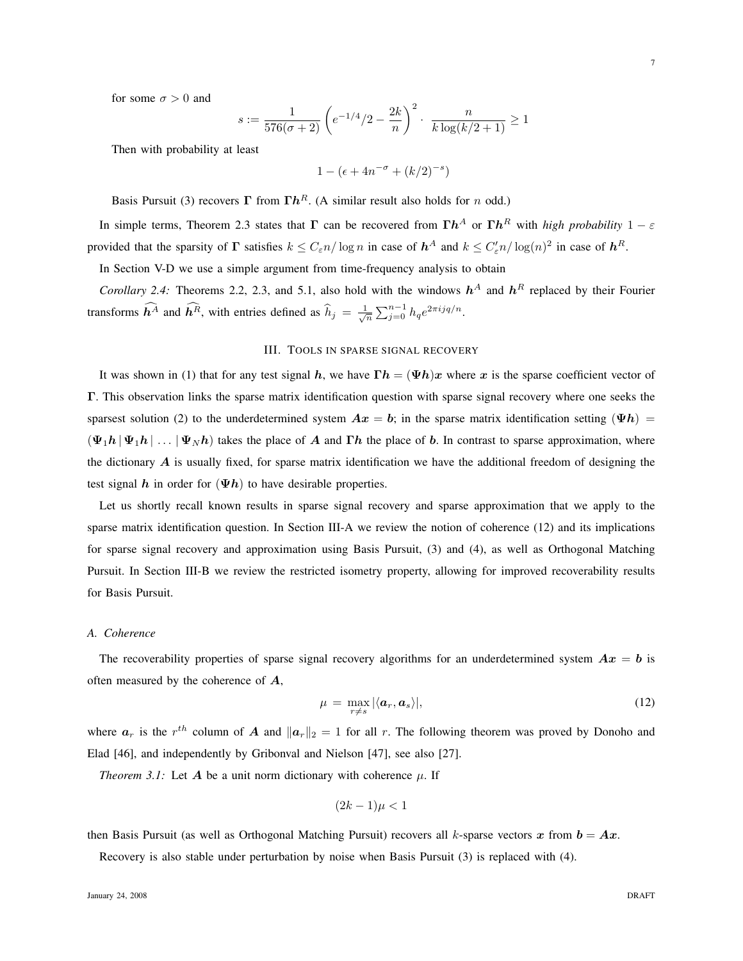for some  $\sigma > 0$  and

$$
s := \frac{1}{576(\sigma+2)} \left( e^{-1/4}/2 - \frac{2k}{n} \right)^2 \cdot \frac{n}{k \log(k/2+1)} \ge 1
$$

Then with probability at least

$$
1 - (\epsilon + 4n^{-\sigma} + (k/2)^{-s})
$$

Basis Pursuit (3) recovers  $\Gamma$  from  $\Gamma h^R$ . (A similar result also holds for n odd.)

In simple terms, Theorem 2.3 states that  $\Gamma$  can be recovered from  $\Gamma h^A$  or  $\Gamma h^R$  with *high probability*  $1-\varepsilon$ provided that the sparsity of  $\Gamma$  satisfies  $k \leq C_{\varepsilon} n / \log n$  in case of  $h^A$  and  $k \leq C_{\varepsilon}' n / \log(n)^2$  in case of  $h^R$ .

In Section V-D we use a simple argument from time-frequency analysis to obtain

*Corollary 2.4:* Theorems 2.2, 2.3, and 5.1, also hold with the windows  $h^A$  and  $h^R$  replaced by their Fourier transforms  $\widehat{h^A}$  and  $\widehat{h^R}$ , with entries defined as  $\widehat{h}_j = \frac{1}{\sqrt{n}} \sum_{j=0}^{n-1} h_q e^{2\pi i j q/n}$ .

#### III. TOOLS IN SPARSE SIGNAL RECOVERY

It was shown in (1) that for any test signal h, we have  $\Gamma h = (\Psi h)x$  where x is the sparse coefficient vector of Γ. This observation links the sparse matrix identification question with sparse signal recovery where one seeks the sparsest solution (2) to the underdetermined system  $Ax = b$ ; in the sparse matrix identification setting ( $\Psi h$ ) =  $(\Psi_1 h | \Psi_1 h | \dots | \Psi_N h)$  takes the place of A and Γh the place of b. In contrast to sparse approximation, where the dictionary  $A$  is usually fixed, for sparse matrix identification we have the additional freedom of designing the test signal h in order for  $(\Psi h)$  to have desirable properties.

Let us shortly recall known results in sparse signal recovery and sparse approximation that we apply to the sparse matrix identification question. In Section III-A we review the notion of coherence (12) and its implications for sparse signal recovery and approximation using Basis Pursuit, (3) and (4), as well as Orthogonal Matching Pursuit. In Section III-B we review the restricted isometry property, allowing for improved recoverability results for Basis Pursuit.

#### *A. Coherence*

The recoverability properties of sparse signal recovery algorithms for an underdetermined system  $Ax = b$  is often measured by the coherence of A,

$$
\mu = \max_{r \neq s} |\langle a_r, a_s \rangle|, \tag{12}
$$

where  $a_r$  is the  $r^{th}$  column of A and  $||a_r||_2 = 1$  for all r. The following theorem was proved by Donoho and Elad [46], and independently by Gribonval and Nielson [47], see also [27].

*Theorem 3.1:* Let  $\vec{A}$  be a unit norm dictionary with coherence  $\mu$ . If

$$
(2k-1)\mu < 1
$$

then Basis Pursuit (as well as Orthogonal Matching Pursuit) recovers all k-sparse vectors x from  $b = Ax$ .

Recovery is also stable under perturbation by noise when Basis Pursuit (3) is replaced with (4).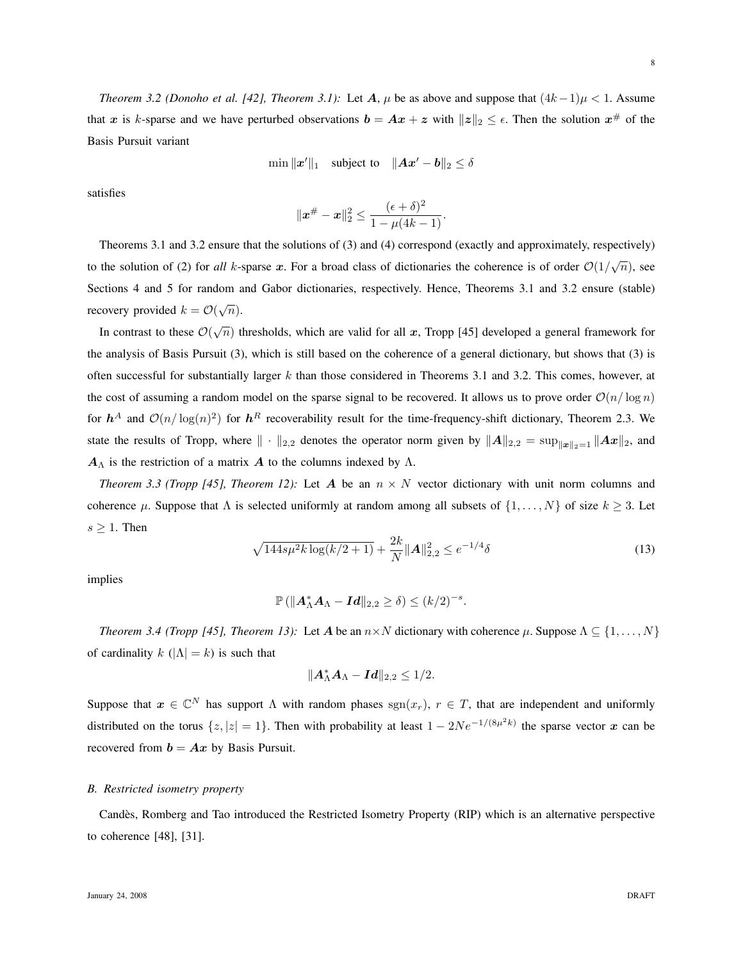*Theorem 3.2 (Donoho et al. [42], Theorem 3.1):* Let  $A$ ,  $\mu$  be as above and suppose that  $(4k-1)\mu < 1$ . Assume that x is k-sparse and we have perturbed observations  $b = Ax + z$  with  $||z||_2 \leq \epsilon$ . Then the solution  $x^{\#}$  of the Basis Pursuit variant

$$
\min \|x'\|_1 \quad \text{subject to} \quad \|Ax'-b\|_2 \le \delta
$$

satisfies

$$
\|\bm{x}^{\#}-\bm{x}\|_2^2 \leq \frac{(\epsilon + \delta)^2}{1-\mu(4k-1)}.
$$

Theorems 3.1 and 3.2 ensure that the solutions of (3) and (4) correspond (exactly and approximately, respectively) to the solution of (2) for *all* k-sparse x. For a broad class of dictionaries the coherence is of order  $O(1/\sqrt{n})$ , see Sections 4 and 5 for random and Gabor dictionaries, respectively. Hence, Theorems 3.1 and 3.2 ensure (stable) recovery provided  $k = \mathcal{O}(\sqrt{n}).$ 

In contrast to these  $\mathcal{O}(\sqrt{n})$  thresholds, which are valid for all x, Tropp [45] developed a general framework for the analysis of Basis Pursuit (3), which is still based on the coherence of a general dictionary, but shows that (3) is often successful for substantially larger  $k$  than those considered in Theorems 3.1 and 3.2. This comes, however, at the cost of assuming a random model on the sparse signal to be recovered. It allows us to prove order  $O(n/\log n)$ for  $h^A$  and  $\mathcal{O}(n/\log(n)^2)$  for  $h^R$  recoverability result for the time-frequency-shift dictionary, Theorem 2.3. We state the results of Tropp, where  $\|\cdot\|_{2,2}$  denotes the operator norm given by  $\|A\|_{2,2} = \sup_{\|x\|_2=1} \|Ax\|_2$ , and  $A_{\Lambda}$  is the restriction of a matrix A to the columns indexed by  $\Lambda$ .

*Theorem 3.3 (Tropp [45], Theorem 12):* Let A be an  $n \times N$  vector dictionary with unit norm columns and coherence  $\mu$ . Suppose that  $\Lambda$  is selected uniformly at random among all subsets of  $\{1, \ldots, N\}$  of size  $k \geq 3$ . Let  $s \geq 1$ . Then

$$
\sqrt{144s\mu^2k\log(k/2+1)} + \frac{2k}{N} ||\mathbf{A}||_{2,2}^2 \le e^{-1/4}\delta
$$
\n(13)

implies

$$
\mathbb{P}\left(\|\boldsymbol{A}_{\Lambda}^*\boldsymbol{A}_{\Lambda}-\boldsymbol{Id}\|_{2,2}\geq \delta\right)\leq (k/2)^{-s}.
$$

*Theorem 3.4 (Tropp [45], Theorem 13):* Let A be an  $n \times N$  dictionary with coherence  $\mu$ . Suppose  $\Lambda \subseteq \{1, \ldots, N\}$ of cardinality  $k$  ( $|\Lambda| = k$ ) is such that

$$
\|\boldsymbol{A}_\Lambda^*\boldsymbol{A}_\Lambda-\boldsymbol{Id}\|_{2,2}\leq 1/2.
$$

Suppose that  $x \in \mathbb{C}^N$  has support  $\Lambda$  with random phases  $\text{sgn}(x_r)$ ,  $r \in T$ , that are independent and uniformly distributed on the torus  $\{z, |z|=1\}$ . Then with probability at least  $1-2Ne^{-1/(8\mu^2k)}$  the sparse vector x can be recovered from  $b = Ax$  by Basis Pursuit.

## *B. Restricted isometry property*

Candes, Romberg and Tao introduced the Restricted Isometry Property (RIP) which is an alternative perspective ` to coherence [48], [31].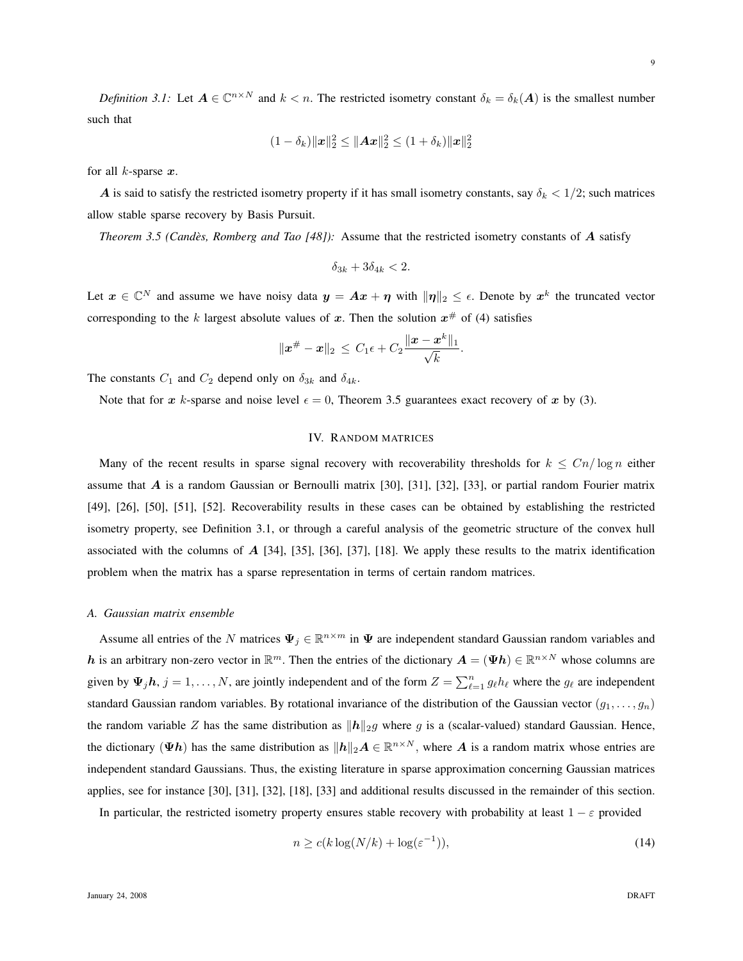*Definition 3.1:* Let  $A \in \mathbb{C}^{n \times N}$  and  $k < n$ . The restricted isometry constant  $\delta_k = \delta_k(A)$  is the smallest number such that

$$
(1 - \delta_k) ||\mathbf{x}||_2^2 \le ||\mathbf{A}\mathbf{x}||_2^2 \le (1 + \delta_k) ||\mathbf{x}||_2^2
$$

for all  $k$ -sparse  $x$ .

A is said to satisfy the restricted isometry property if it has small isometry constants, say  $\delta_k < 1/2$ ; such matrices allow stable sparse recovery by Basis Pursuit.

*Theorem 3.5 (Candès, Romberg and Tao [48]):* Assume that the restricted isometry constants of A satisfy

$$
\delta_{3k} + 3\delta_{4k} < 2.
$$

Let  $x \in \mathbb{C}^N$  and assume we have noisy data  $y = Ax + \eta$  with  $\|\eta\|_2 \leq \epsilon$ . Denote by  $x^k$  the truncated vector corresponding to the k largest absolute values of x. Then the solution  $x^{\#}$  of (4) satisfies

$$
\|\bm{x}^{\#}-\bm{x}\|_2 \,\leq\, C_1\epsilon + C_2\frac{\|\bm{x}-\bm{x}^k\|_1}{\sqrt{k}}.
$$

The constants  $C_1$  and  $C_2$  depend only on  $\delta_{3k}$  and  $\delta_{4k}$ .

Note that for x k-sparse and noise level  $\epsilon = 0$ , Theorem 3.5 guarantees exact recovery of x by (3).

## IV. RANDOM MATRICES

Many of the recent results in sparse signal recovery with recoverability thresholds for  $k \leq Cn/\log n$  either assume that  $A$  is a random Gaussian or Bernoulli matrix [30], [31], [32], [33], or partial random Fourier matrix [49], [26], [50], [51], [52]. Recoverability results in these cases can be obtained by establishing the restricted isometry property, see Definition 3.1, or through a careful analysis of the geometric structure of the convex hull associated with the columns of  $A$  [34], [35], [36], [37], [18]. We apply these results to the matrix identification problem when the matrix has a sparse representation in terms of certain random matrices.

#### *A. Gaussian matrix ensemble*

Assume all entries of the N matrices  $\Psi_j \in \mathbb{R}^{n \times m}$  in  $\Psi$  are independent standard Gaussian random variables and h is an arbitrary non-zero vector in  $\mathbb{R}^m$ . Then the entries of the dictionary  $A = (\Psi h) \in \mathbb{R}^{n \times N}$  whose columns are given by  $\Psi_j h$ ,  $j = 1, ..., N$ , are jointly independent and of the form  $Z = \sum_{\ell=1}^n g_\ell h_\ell$  where the  $g_\ell$  are independent standard Gaussian random variables. By rotational invariance of the distribution of the Gaussian vector  $(g_1, \ldots, g_n)$ the random variable Z has the same distribution as  $\|\mathbf{h}\|_{2g}$  where g is a (scalar-valued) standard Gaussian. Hence, the dictionary  $(\Psi h)$  has the same distribution as  $||h||_2 A \in \mathbb{R}^{n \times N}$ , where A is a random matrix whose entries are independent standard Gaussians. Thus, the existing literature in sparse approximation concerning Gaussian matrices applies, see for instance [30], [31], [32], [18], [33] and additional results discussed in the remainder of this section.

In particular, the restricted isometry property ensures stable recovery with probability at least  $1 - \varepsilon$  provided

$$
n \ge c(k \log(N/k) + \log(\varepsilon^{-1})),\tag{14}
$$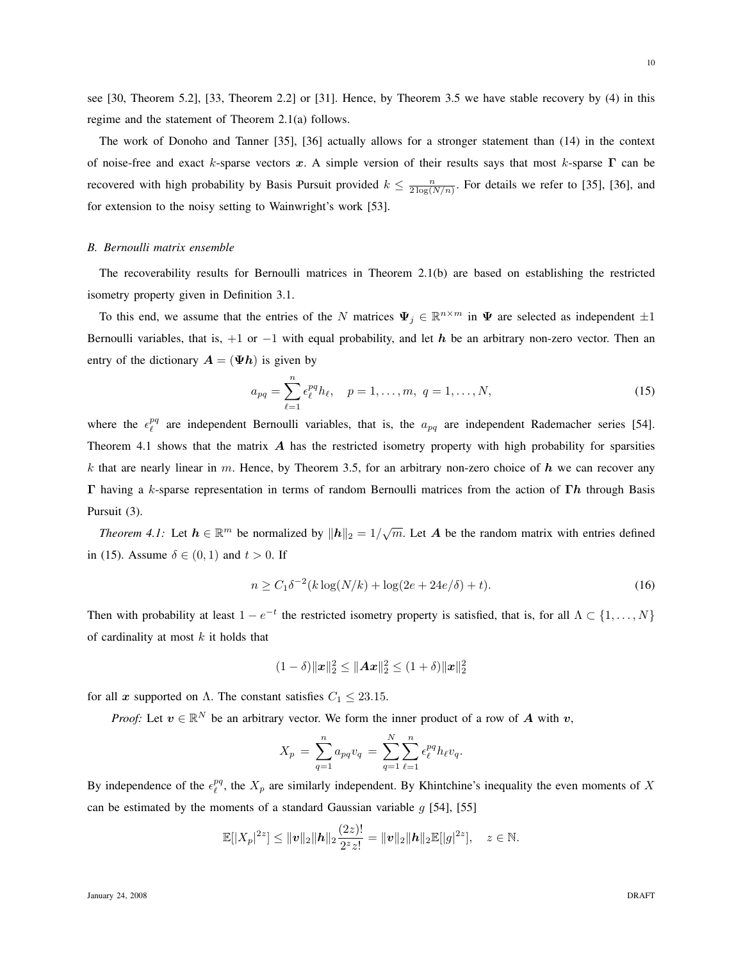see [30, Theorem 5.2], [33, Theorem 2.2] or [31]. Hence, by Theorem 3.5 we have stable recovery by (4) in this regime and the statement of Theorem 2.1(a) follows.

The work of Donoho and Tanner [35], [36] actually allows for a stronger statement than (14) in the context of noise-free and exact k-sparse vectors x. A simple version of their results says that most k-sparse  $\Gamma$  can be recovered with high probability by Basis Pursuit provided  $k \leq \frac{n}{2 \log(N/n)}$ . For details we refer to [35], [36], and for extension to the noisy setting to Wainwright's work [53].

## *B. Bernoulli matrix ensemble*

The recoverability results for Bernoulli matrices in Theorem 2.1(b) are based on establishing the restricted isometry property given in Definition 3.1.

To this end, we assume that the entries of the N matrices  $\Psi_j \in \mathbb{R}^{n \times m}$  in  $\Psi$  are selected as independent  $\pm 1$ Bernoulli variables, that is, +1 or −1 with equal probability, and let h be an arbitrary non-zero vector. Then an entry of the dictionary  $A = (\Psi h)$  is given by

$$
a_{pq} = \sum_{\ell=1}^{n} \epsilon_{\ell}^{pq} h_{\ell}, \quad p = 1, \dots, m, \ q = 1, \dots, N,
$$
 (15)

where the  $\epsilon_{\ell}^{pq}$  are independent Bernoulli variables, that is, the  $a_{pq}$  are independent Rademacher series [54]. Theorem 4.1 shows that the matrix  $A$  has the restricted isometry property with high probability for sparsities k that are nearly linear in m. Hence, by Theorem 3.5, for an arbitrary non-zero choice of  $h$  we can recover any Γ having a k-sparse representation in terms of random Bernoulli matrices from the action of Γh through Basis Pursuit (3).

*Theorem 4.1:* Let  $h \in \mathbb{R}^m$  be normalized by  $||h||_2 = 1/\sqrt{m}$ . Let A be the random matrix with entries defined in (15). Assume  $\delta \in (0,1)$  and  $t > 0$ . If

$$
n \ge C_1 \delta^{-2} (k \log(N/k) + \log(2e + 24e/\delta) + t).
$$
 (16)

Then with probability at least  $1 - e^{-t}$  the restricted isometry property is satisfied, that is, for all  $\Lambda \subset \{1, \ldots, N\}$ of cardinality at most  $k$  it holds that

$$
(1 - \delta) ||x||_2^2 \le ||Ax||_2^2 \le (1 + \delta) ||x||_2^2
$$

for all x supported on  $\Lambda$ . The constant satisfies  $C_1 \leq 23.15$ .

*Proof:* Let  $v \in \mathbb{R}^N$  be an arbitrary vector. We form the inner product of a row of A with v,

$$
X_p = \sum_{q=1}^n a_{pq} v_q = \sum_{q=1}^N \sum_{\ell=1}^n \epsilon_{\ell}^{pq} h_{\ell} v_q.
$$

By independence of the  $\epsilon_{\ell}^{pq}$ , the  $X_p$  are similarly independent. By Khintchine's inequality the even moments of X can be estimated by the moments of a standard Gaussian variable  $g$  [54], [55]

$$
\mathbb{E}[|X_p|^{2z}] \le ||\boldsymbol{v}||_2 ||\boldsymbol{h}||_2 \frac{(2z)!}{2^z z!} = ||\boldsymbol{v}||_2 ||\boldsymbol{h}||_2 \mathbb{E}[|g|^{2z}], \quad z \in \mathbb{N}.
$$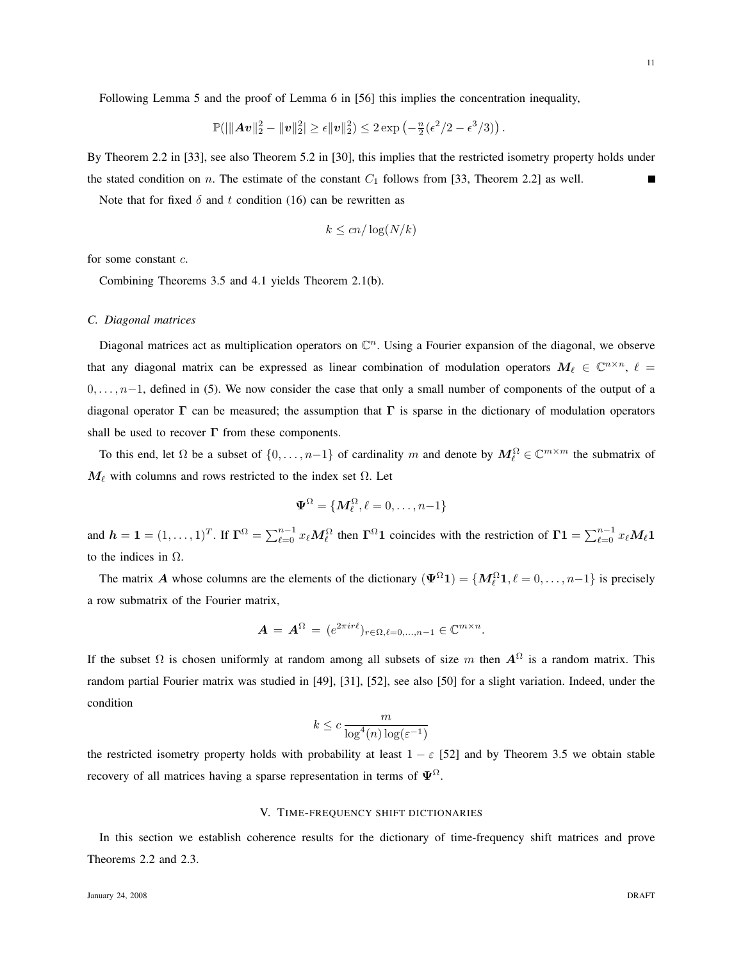Following Lemma 5 and the proof of Lemma 6 in [56] this implies the concentration inequality,

$$
\mathbb{P}( \vert \Vert A\boldsymbol{v} \Vert_2^2 - \Vert \boldsymbol{v} \Vert_2^2 \vert \geq \epsilon \Vert \boldsymbol{v} \Vert_2^2 ) \leq 2 \exp \left( - \tfrac{n}{2} ( \epsilon^2 / 2 - \epsilon^3 / 3 ) \right).
$$

By Theorem 2.2 in [33], see also Theorem 5.2 in [30], this implies that the restricted isometry property holds under the stated condition on n. The estimate of the constant  $C_1$  follows from [33, Theorem 2.2] as well.

Note that for fixed  $\delta$  and t condition (16) can be rewritten as

$$
k \le cn/\log(N/k)
$$

for some constant c.

Combining Theorems 3.5 and 4.1 yields Theorem 2.1(b).

#### *C. Diagonal matrices*

Diagonal matrices act as multiplication operators on  $\mathbb{C}^n$ . Using a Fourier expansion of the diagonal, we observe that any diagonal matrix can be expressed as linear combination of modulation operators  $M_\ell \in \mathbb{C}^{n \times n}$ ,  $\ell =$  $0, \ldots, n-1$ , defined in (5). We now consider the case that only a small number of components of the output of a diagonal operator  $\Gamma$  can be measured; the assumption that  $\Gamma$  is sparse in the dictionary of modulation operators shall be used to recover  $\Gamma$  from these components.

To this end, let  $\Omega$  be a subset of  $\{0,\ldots,n-1\}$  of cardinality m and denote by  $M_{\ell}^{\Omega} \in \mathbb{C}^{m \times m}$  the submatrix of  $M_{\ell}$  with columns and rows restricted to the index set  $\Omega$ . Let

$$
\boldsymbol{\Psi}^\Omega=\{\boldsymbol{M}_\ell^\Omega,\ell=0,\ldots,n{-}1\}
$$

and  $h = 1 = (1, \ldots, 1)^T$ . If  $\Gamma^{\Omega} = \sum_{\ell=0}^{n-1} x_{\ell} M_{\ell}^{\Omega}$  then  $\Gamma^{\Omega}$  coincides with the restriction of  $\Gamma$ 1 =  $\sum_{\ell=0}^{n-1} x_{\ell} M_{\ell}$ 1 to the indices in  $\Omega$ .

The matrix A whose columns are the elements of the dictionary  $(\Psi^{\Omega} 1) = \{ M_{\ell}^{\Omega} 1, \ell = 0, \ldots, n-1 \}$  is precisely a row submatrix of the Fourier matrix,

$$
\mathbf{A} = \mathbf{A}^{\Omega} = (e^{2\pi i r\ell})_{r \in \Omega, \ell = 0, ..., n-1} \in \mathbb{C}^{m \times n}.
$$

If the subset  $\Omega$  is chosen uniformly at random among all subsets of size m then  $A^{\Omega}$  is a random matrix. This random partial Fourier matrix was studied in [49], [31], [52], see also [50] for a slight variation. Indeed, under the condition

$$
k \le c \, \frac{m}{\log^4(n) \log(\varepsilon^{-1})}
$$

the restricted isometry property holds with probability at least  $1 - \varepsilon$  [52] and by Theorem 3.5 we obtain stable recovery of all matrices having a sparse representation in terms of  $\Psi^{\Omega}$ .

## V. TIME-FREQUENCY SHIFT DICTIONARIES

In this section we establish coherence results for the dictionary of time-frequency shift matrices and prove Theorems 2.2 and 2.3.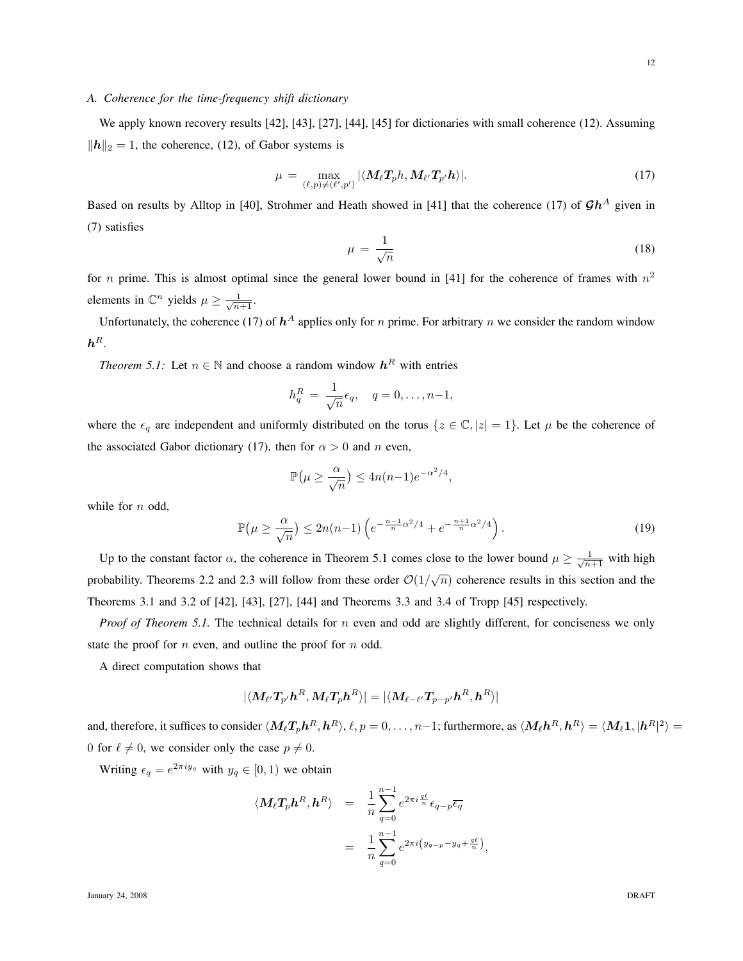## *A. Coherence for the time-frequency shift dictionary*

We apply known recovery results [42], [43], [27], [44], [45] for dictionaries with small coherence (12). Assuming  $||h||_2 = 1$ , the coherence, (12), of Gabor systems is

$$
\mu = \max_{(\ell,p)\neq (\ell',p')} |\langle M_{\ell} T_p h, M_{\ell'} T_{p'} h \rangle|.
$$
\n(17)

Based on results by Alltop in [40], Strohmer and Heath showed in [41] that the coherence (17) of  $\mathcal{G}h^A$  given in (7) satisfies

$$
\mu = \frac{1}{\sqrt{n}}\tag{18}
$$

for *n* prime. This is almost optimal since the general lower bound in [41] for the coherence of frames with  $n^2$ elements in  $\mathbb{C}^n$  yields  $\mu \geq \frac{1}{\sqrt{n+1}}$ .

Unfortunately, the coherence (17) of  $h^A$  applies only for *n* prime. For arbitrary *n* we consider the random window  $\bm{h}^R.$ 

*Theorem 5.1:* Let  $n \in \mathbb{N}$  and choose a random window  $h^R$  with entries

$$
h_q^R = \frac{1}{\sqrt{n}} \epsilon_q, \quad q = 0, \dots, n-1,
$$

where the  $\epsilon_q$  are independent and uniformly distributed on the torus  $\{z \in \mathbb{C}, |z| = 1\}$ . Let  $\mu$  be the coherence of the associated Gabor dictionary (17), then for  $\alpha > 0$  and n even,

$$
\mathbb{P}(\mu \ge \frac{\alpha}{\sqrt{n}}) \le 4n(n-1)e^{-\alpha^2/4},
$$

while for  $n$  odd,

$$
\mathbb{P}\left(\mu \ge \frac{\alpha}{\sqrt{n}}\right) \le 2n(n-1)\left(e^{-\frac{n-1}{n}\alpha^2/4} + e^{-\frac{n+1}{n}\alpha^2/4}\right). \tag{19}
$$

Up to the constant factor  $\alpha$ , the coherence in Theorem 5.1 comes close to the lower bound  $\mu \ge \frac{1}{\sqrt{n+1}}$  with high probability. Theorems 2.2 and 2.3 will follow from these order  $\mathcal{O}(1/\sqrt{n})$  coherence results in this section and the Theorems 3.1 and 3.2 of [42], [43], [27], [44] and Theorems 3.3 and 3.4 of Tropp [45] respectively.

*Proof of Theorem 5.1.* The technical details for n even and odd are slightly different, for conciseness we only state the proof for  $n$  even, and outline the proof for  $n$  odd.

A direct computation shows that

$$
|\langle \bm{M}_{\ell'}\bm{T}_{p'}\bm{h}^R,\bm{M}_{\ell}\bm{T}_{p}\bm{h}^R\rangle|=|\langle \bm{M}_{\ell-\ell'}\bm{T}_{p-p'}\bm{h}^R,\bm{h}^R\rangle|
$$

and, therefore, it suffices to consider  $\langle M_\ell T_p h^R,h^R\rangle$ ,  $\ell,p=0,\ldots,n-1;$  furthermore, as  $\langle M_\ell h^R,h^R\rangle=\langle M_\ell 1,|h^R|^2\rangle=0$ 0 for  $\ell \neq 0$ , we consider only the case  $p \neq 0$ .

Writing  $\epsilon_q = e^{2\pi i y_q}$  with  $y_q \in [0, 1)$  we obtain

$$
\langle M_{\ell}T_{p}\mathbf{h}^{R}, \mathbf{h}^{R} \rangle = \frac{1}{n} \sum_{q=0}^{n-1} e^{2\pi i \frac{q\ell}{n}} \epsilon_{q-p} \overline{\epsilon_{q}}
$$

$$
= \frac{1}{n} \sum_{q=0}^{n-1} e^{2\pi i \left(y_{q-p} - y_{q} + \frac{q\ell}{n}\right)},
$$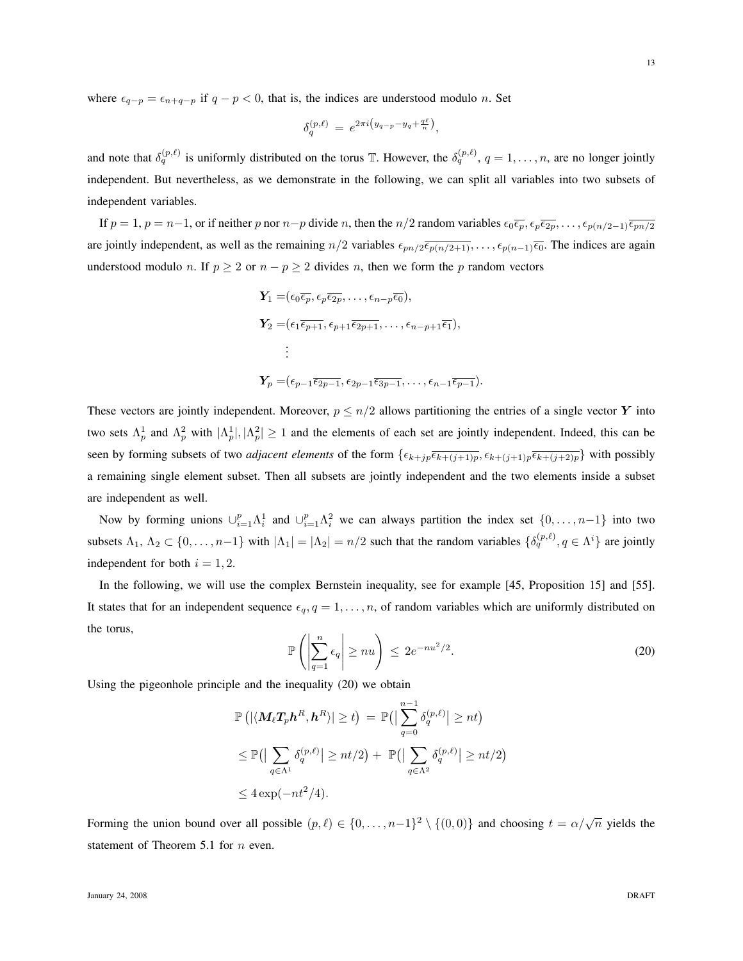where  $\epsilon_{q-p} = \epsilon_{n+q-p}$  if  $q-p < 0$ , that is, the indices are understood modulo n. Set

$$
\delta_q^{(p,\ell)} = e^{2\pi i \left(y_{q-p} - y_q + \frac{q\ell}{n}\right)},
$$

and note that  $\delta_q^{(p,\ell)}$  is uniformly distributed on the torus T. However, the  $\delta_q^{(p,\ell)}$ ,  $q=1,\ldots,n$ , are no longer jointly independent. But nevertheless, as we demonstrate in the following, we can split all variables into two subsets of independent variables.

If  $p = 1$ ,  $p = n-1$ , or if neither p nor  $n-p$  divide n, then the  $n/2$  random variables  $\epsilon_0 \overline{\epsilon_p}, \epsilon_p \overline{\epsilon_{2p}}, \ldots, \epsilon_{p(n/2-1)} \overline{\epsilon_{pn/2}}$ are jointly independent, as well as the remaining  $n/2$  variables  $\epsilon_{pn/2}\overline{\epsilon_{p(n/2+1)}}, \ldots, \epsilon_{p(n-1)}\overline{\epsilon_0}$ . The indices are again understood modulo n. If  $p \ge 2$  or  $n - p \ge 2$  divides n, then we form the p random vectors

$$
\begin{aligned} \mathbf{Y}_1 &= \left( \epsilon_0 \overline{\epsilon_p}, \epsilon_p \overline{\epsilon_{2p}}, \dots, \epsilon_{n-p} \overline{\epsilon_0} \right), \\ \mathbf{Y}_2 &= \left( \epsilon_1 \overline{\epsilon_{p+1}}, \epsilon_{p+1} \overline{\epsilon_{2p+1}}, \dots, \epsilon_{n-p+1} \overline{\epsilon_1} \right), \\ &\vdots \\ \mathbf{Y}_p &= \left( \epsilon_{p-1} \overline{\epsilon_{2p-1}}, \epsilon_{2p-1} \overline{\epsilon_{3p-1}}, \dots, \epsilon_{n-1} \overline{\epsilon_{p-1}} \right). \end{aligned}
$$

These vectors are jointly independent. Moreover,  $p \leq n/2$  allows partitioning the entries of a single vector Y into two sets  $\Lambda_p^1$  and  $\Lambda_p^2$  with  $|\Lambda_p^1|, |\Lambda_p^2| \ge 1$  and the elements of each set are jointly independent. Indeed, this can be seen by forming subsets of two *adjacent elements* of the form  $\{\epsilon_{k+jp}\overline{\epsilon_{k+(j+1)p}}, \epsilon_{k+(j+1)p}\overline{\epsilon_{k+(j+2)p}}\}$  with possibly a remaining single element subset. Then all subsets are jointly independent and the two elements inside a subset are independent as well.

Now by forming unions  $\cup_{i=1}^p \Lambda_i^1$  and  $\cup_{i=1}^p \Lambda_i^2$  we can always partition the index set  $\{0,\ldots,n-1\}$  into two subsets  $\Lambda_1, \Lambda_2 \subset \{0, \ldots, n-1\}$  with  $|\Lambda_1| = |\Lambda_2| = n/2$  such that the random variables  $\{\delta_q^{(p,\ell)}, q \in \Lambda^i\}$  are jointly independent for both  $i = 1, 2$ .

In the following, we will use the complex Bernstein inequality, see for example [45, Proposition 15] and [55]. It states that for an independent sequence  $\epsilon_q$ ,  $q = 1, \ldots, n$ , of random variables which are uniformly distributed on the torus,

$$
\mathbb{P}\left(\left|\sum_{q=1}^{n} \epsilon_q\right| \geq nu\right) \leq 2e^{-nu^2/2}.\tag{20}
$$

Using the pigeonhole principle and the inequality (20) we obtain

$$
\mathbb{P}\left(|\langle \mathbf{M}_{\ell}\mathbf{T}_{p}\mathbf{h}^{R}, \mathbf{h}^{R}\rangle| \geq t\right) = \mathbb{P}\left(|\sum_{q=0}^{n-1} \delta_{q}^{(p,\ell)}| \geq nt\right)
$$
  
\n
$$
\leq \mathbb{P}\left(|\sum_{q \in \Lambda^{1}} \delta_{q}^{(p,\ell)}| \geq nt/2\right) + \mathbb{P}\left(|\sum_{q \in \Lambda^{2}} \delta_{q}^{(p,\ell)}| \geq nt/2\right)
$$
  
\n
$$
\leq 4 \exp(-nt^2/4).
$$

Forming the union bound over all possible  $(p, \ell) \in \{0, ..., n-1\}^2 \setminus \{(0, 0)\}$  and choosing  $t = \alpha/\sqrt{n}$  yields the statement of Theorem 5.1 for *n* even.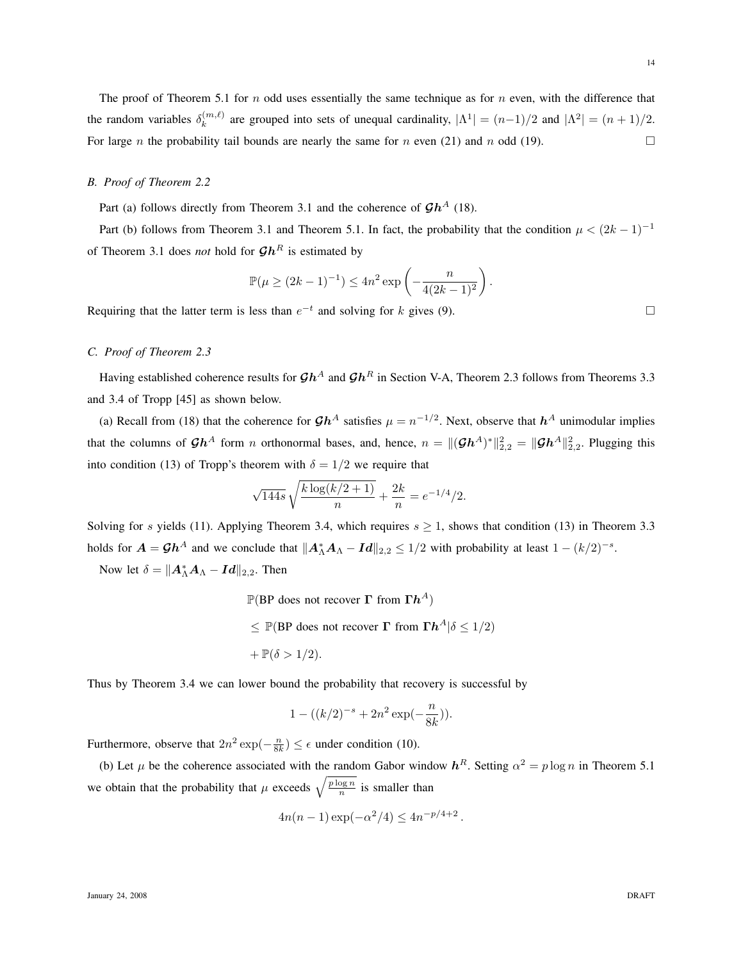The proof of Theorem 5.1 for  $n$  odd uses essentially the same technique as for  $n$  even, with the difference that the random variables  $\delta_k^{(m,\ell)}$  $\lambda_k^{(m,\ell)}$  are grouped into sets of unequal cardinality,  $|\Lambda^1| = (n-1)/2$  and  $|\Lambda^2| = (n+1)/2$ . For large *n* the probability tail bounds are nearly the same for *n* even (21) and *n* odd (19).

## *B. Proof of Theorem 2.2*

Part (a) follows directly from Theorem 3.1 and the coherence of  $\mathcal{G}h^A$  (18).

Part (b) follows from Theorem 3.1 and Theorem 5.1. In fact, the probability that the condition  $\mu < (2k-1)^{-1}$ of Theorem 3.1 does *not* hold for  $\mathcal{G}h^R$  is estimated by

$$
\mathbb{P}(\mu \ge (2k-1)^{-1}) \le 4n^2 \exp\left(-\frac{n}{4(2k-1)^2}\right).
$$

Requiring that the latter term is less than  $e^{-t}$  and solving for k gives (9).

# *C. Proof of Theorem 2.3*

Having established coherence results for  $\mathcal{G}h^A$  and  $\mathcal{G}h^R$  in Section V-A, Theorem 2.3 follows from Theorems 3.3 and 3.4 of Tropp [45] as shown below.

(a) Recall from (18) that the coherence for  $\mathcal{G}h^A$  satisfies  $\mu = n^{-1/2}$ . Next, observe that  $h^A$  unimodular implies that the columns of  $\mathcal{G}h^A$  form *n* orthonormal bases, and, hence,  $n = \|(\mathcal{G}h^A)^*\|_{2,2}^2 = \|\mathcal{G}h^A\|_{2,2}^2$ . Plugging this into condition (13) of Tropp's theorem with  $\delta = 1/2$  we require that

$$
\sqrt{144s} \sqrt{\frac{k \log(k/2+1)}{n}} + \frac{2k}{n} = e^{-1/4}/2.
$$

Solving for s yields (11). Applying Theorem 3.4, which requires  $s \ge 1$ , shows that condition (13) in Theorem 3.3 holds for  $A = \mathcal{G}h^A$  and we conclude that  $||A_\Lambda^* A_\Lambda - Id||_{2,2} \le 1/2$  with probability at least  $1 - (k/2)^{-s}$ .

Now let  $\delta = ||\boldsymbol{A}_{\Lambda}^*\boldsymbol{A}_{\Lambda} - \boldsymbol{Id}||_{2,2}$ . Then

- $\mathbb{P}(\text{BP does not recover } \Gamma \text{ from } \Gamma h^A)$
- $\leq$  P(BP does not recover  $\Gamma$  from  $\Gamma h^A$  | $\delta \leq 1/2$ )

$$
+ \mathbb{P}(\delta > 1/2).
$$

Thus by Theorem 3.4 we can lower bound the probability that recovery is successful by

$$
1 - ((k/2)^{-s} + 2n^2 \exp(-\frac{n}{8k})).
$$

Furthermore, observe that  $2n^2 \exp(-\frac{n}{8k}) \leq \epsilon$  under condition (10).

(b) Let  $\mu$  be the coherence associated with the random Gabor window  $h^R$ . Setting  $\alpha^2 = p \log n$  in Theorem 5.1 we obtain that the probability that  $\mu$  exceeds  $\sqrt{\frac{p \log n}{n}}$  is smaller than

$$
4n(n-1)\exp(-\alpha^2/4) \le 4n^{-p/4+2}
$$

.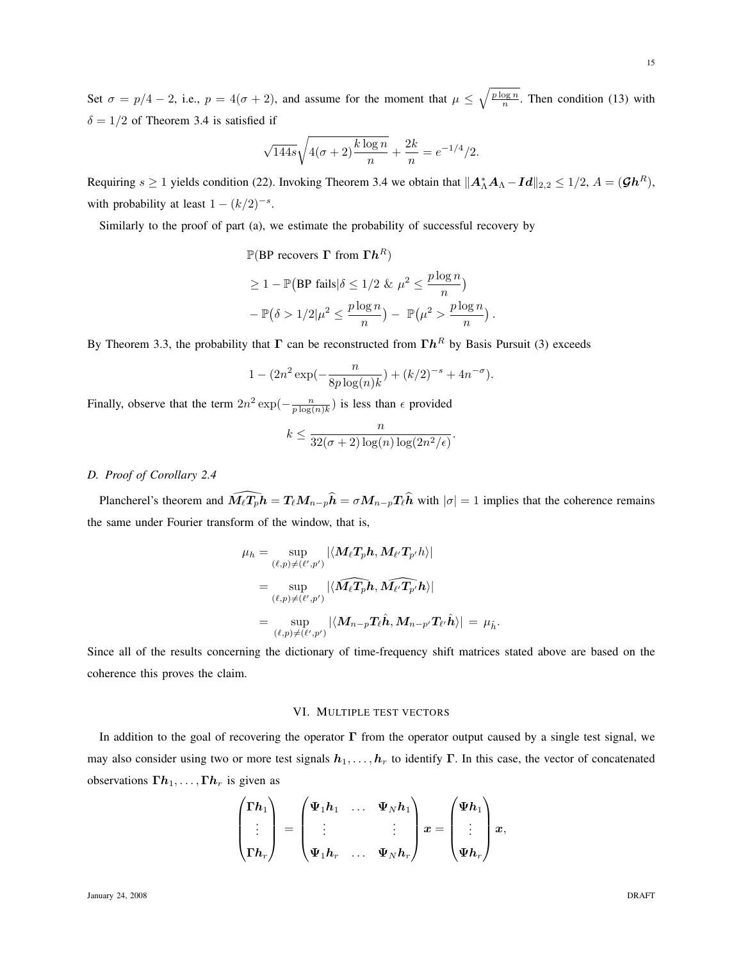Set  $\sigma = p/4 - 2$ , i.e.,  $p = 4(\sigma + 2)$ , and assume for the moment that  $\mu \leq \sqrt{\frac{p \log n}{n}}$ . Then condition (13) with  $\delta = 1/2$  of Theorem 3.4 is satisfied if

$$
\sqrt{144s}\sqrt{4(\sigma+2)\frac{k\log n}{n}} + \frac{2k}{n} = e^{-1/4}/2.
$$

Requiring  $s \ge 1$  yields condition (22). Invoking Theorem 3.4 we obtain that  $||A_\Lambda^* A_\Lambda - Id||_{2,2} \le 1/2$ ,  $A = (\mathcal{G}h^R)$ , with probability at least  $1 - (k/2)^{-s}$ .

Similarly to the proof of part (a), we estimate the probability of successful recovery by

$$
\mathbb{P}(\text{BP recovers } \Gamma \text{ from } \Gamma h^R)
$$
  
\n
$$
\geq 1 - \mathbb{P}(\text{BP fails}|\delta \leq 1/2 \& \mu^2 \leq \frac{p \log n}{n})
$$
  
\n
$$
-\mathbb{P}(\delta > 1/2 | \mu^2 \leq \frac{p \log n}{n}) - \mathbb{P}(\mu^2 > \frac{p \log n}{n})
$$

.

By Theorem 3.3, the probability that  $\Gamma$  can be reconstructed from  $\Gamma h^R$  by Basis Pursuit (3) exceeds

$$
1 - (2n^{2} \exp(-\frac{n}{8p \log(n)k}) + (k/2)^{-s} + 4n^{-\sigma}).
$$

Finally, observe that the term  $2n^2 \exp(-\frac{n}{p \log(n)k})$  is less than  $\epsilon$  provided

$$
k \le \frac{n}{32(\sigma+2)\log(n)\log(2n^2/\epsilon)}.
$$

# *D. Proof of Corollary 2.4*

Plancherel's theorem and  $\widehat{M_{\ell}T_p}h = T_{\ell}M_{n-p}\widehat{h} = \sigma M_{n-p}T_{\ell}\widehat{h}$  with  $|\sigma| = 1$  implies that the coherence remains the same under Fourier transform of the window, that is,

$$
\begin{aligned} \mu_h &= \sup_{(\ell,p)\neq (\ell',p')}|\langle M_\ell T_ph, M_{\ell'} T_{p'}h\rangle| \\ &= \sup_{(\ell,p)\neq (\ell',p')}|\langle \widehat{M_\ell T_p}h, \widehat{M_{\ell'} T_{p'}}h\rangle| \\ &= \sup_{(\ell,p)\neq (\ell',p')}|\langle M_{n-p} T_\ell \hat h, M_{n-p'} T_{\ell'} \hat h\rangle| \, = \, \mu_{\hat h}. \end{aligned}
$$

Since all of the results concerning the dictionary of time-frequency shift matrices stated above are based on the coherence this proves the claim.

## VI. MULTIPLE TEST VECTORS

In addition to the goal of recovering the operator  $\Gamma$  from the operator output caused by a single test signal, we may also consider using two or more test signals  $h_1, \ldots, h_r$  to identify Γ. In this case, the vector of concatenated observations  $\Gamma h_1, \ldots, \Gamma h_r$  is given as

$$
\begin{pmatrix} \Gamma h_1 \\ \vdots \\ \Gamma h_r \end{pmatrix} = \begin{pmatrix} \Psi_1 h_1 & \dots & \Psi_N h_1 \\ \vdots & & \vdots \\ \Psi_1 h_r & \dots & \Psi_N h_r \end{pmatrix} x = \begin{pmatrix} \Psi h_1 \\ \vdots \\ \Psi h_r \end{pmatrix} x,
$$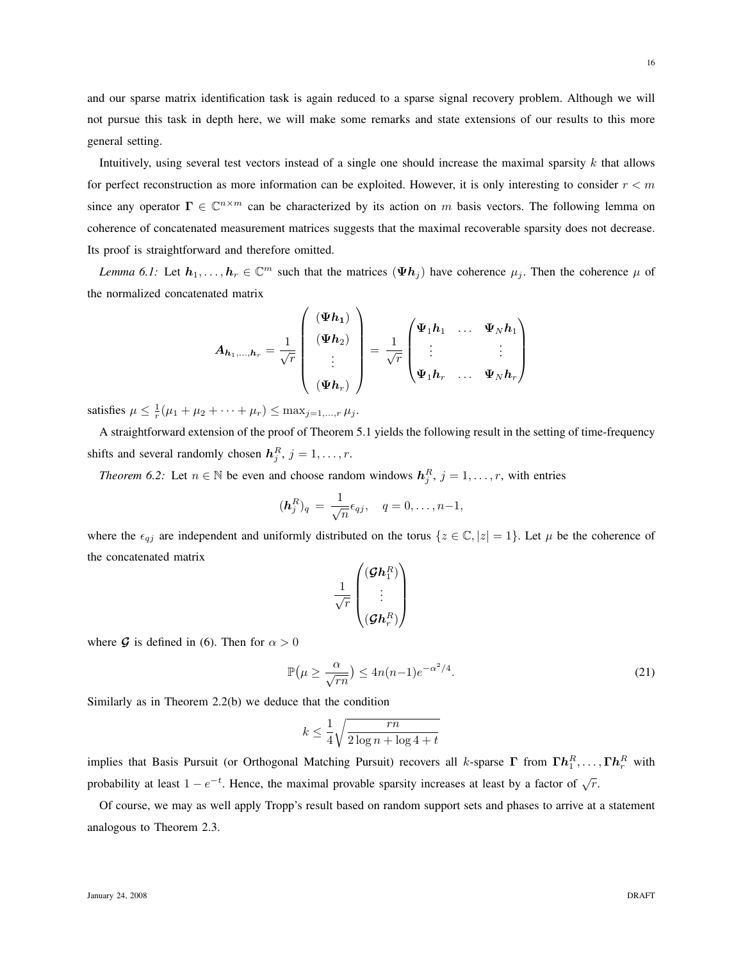and our sparse matrix identification task is again reduced to a sparse signal recovery problem. Although we will not pursue this task in depth here, we will make some remarks and state extensions of our results to this more general setting.

Intuitively, using several test vectors instead of a single one should increase the maximal sparsity k that allows for perfect reconstruction as more information can be exploited. However, it is only interesting to consider  $r < m$ since any operator  $\Gamma \in \mathbb{C}^{n \times m}$  can be characterized by its action on m basis vectors. The following lemma on coherence of concatenated measurement matrices suggests that the maximal recoverable sparsity does not decrease. Its proof is straightforward and therefore omitted.

*Lemma 6.1:* Let  $h_1, \ldots, h_r \in \mathbb{C}^m$  such that the matrices  $(\Psi h_j)$  have coherence  $\mu_j$ . Then the coherence  $\mu$  of the normalized concatenated matrix

$$
A_{h_1,\dots,h_r} = \frac{1}{\sqrt{r}} \begin{pmatrix} (\Psi h_1) \\ (\Psi h_2) \\ \vdots \\ (\Psi h_r) \end{pmatrix} = \frac{1}{\sqrt{r}} \begin{pmatrix} \Psi_1 h_1 & \dots & \Psi_N h_1 \\ \vdots & & \vdots \\ \Psi_1 h_r & \dots & \Psi_N h_r \end{pmatrix}
$$

satisfies  $\mu \leq \frac{1}{r}(\mu_1 + \mu_2 + \cdots + \mu_r) \leq \max_{j=1,\dots,r} \mu_j$ .

A straightforward extension of the proof of Theorem 5.1 yields the following result in the setting of time-frequency shifts and several randomly chosen  $h_j^R$ ,  $j = 1, \ldots, r$ .

*Theorem 6.2:* Let  $n \in \mathbb{N}$  be even and choose random windows  $h_j^R$ ,  $j = 1, \dots, r$ , with entries

$$
(\boldsymbol{h}_j^R)_q = \frac{1}{\sqrt{n}} \epsilon_{qj}, \quad q = 0, \dots, n-1,
$$

where the  $\epsilon_{qj}$  are independent and uniformly distributed on the torus  $\{z \in \mathbb{C}, |z| = 1\}$ . Let  $\mu$  be the coherence of the concatenated matrix

$$
\frac{1}{\sqrt{r}}\begin{pmatrix}(\boldsymbol{\mathcal{G}}\boldsymbol{h}_1^R) \\ \vdots \\ (\boldsymbol{\mathcal{G}}\boldsymbol{h}_r^R)\end{pmatrix}
$$

where G is defined in (6). Then for  $\alpha > 0$ 

$$
\mathbb{P}\left(\mu \ge \frac{\alpha}{\sqrt{rn}}\right) \le 4n(n-1)e^{-\alpha^2/4}.\tag{21}
$$

Similarly as in Theorem 2.2(b) we deduce that the condition

$$
k \le \frac{1}{4} \sqrt{\frac{rn}{2 \log n + \log 4 + t}}
$$

implies that Basis Pursuit (or Orthogonal Matching Pursuit) recovers all k-sparse  $\Gamma$  from  $\Gamma h_1^R,\ldots,\Gamma h_r^R$  with probability at least  $1 - e^{-t}$ . Hence, the maximal provable sparsity increases at least by a factor of  $\sqrt{r}$ .

Of course, we may as well apply Tropp's result based on random support sets and phases to arrive at a statement analogous to Theorem 2.3.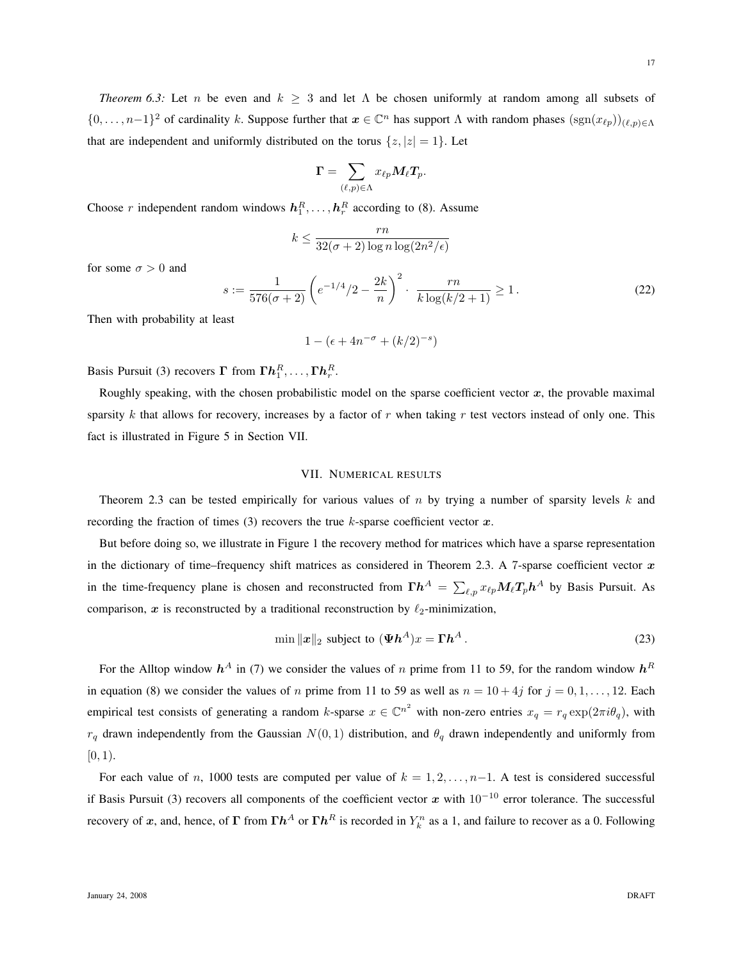*Theorem 6.3:* Let n be even and  $k \geq 3$  and let  $\Lambda$  be chosen uniformly at random among all subsets of  $\{0,\ldots,n-1\}^2$  of cardinality k. Suppose further that  $x \in \mathbb{C}^n$  has support  $\Lambda$  with random phases  $(\text{sgn}(x_{\ell p}))_{(\ell,p)\in\Lambda}$ that are independent and uniformly distributed on the torus  $\{z, |z| = 1\}$ . Let

$$
\boldsymbol{\Gamma} = \sum_{(\ell,p)\in \Lambda} x_{\ell p} \boldsymbol{M}_\ell \boldsymbol{T}_p.
$$

Choose r independent random windows  $h_1^R, \ldots, h_r^R$  according to (8). Assume

$$
k \le \frac{rn}{32(\sigma+2)\log n \log(2n^2/\epsilon)}
$$

for some  $\sigma > 0$  and

$$
s := \frac{1}{576(\sigma+2)} \left( e^{-1/4}/2 - \frac{2k}{n} \right)^2 \cdot \frac{rn}{k \log(k/2+1)} \ge 1.
$$
 (22)

Then with probability at least

$$
1 - (\epsilon + 4n^{-\sigma} + (k/2)^{-s})
$$

Basis Pursuit (3) recovers  $\boldsymbol{\Gamma}$  from  $\boldsymbol{\Gamma} \boldsymbol{h}_1^R, \ldots, \boldsymbol{\Gamma} \boldsymbol{h}_r^R$ .

Roughly speaking, with the chosen probabilistic model on the sparse coefficient vector  $x$ , the provable maximal sparsity k that allows for recovery, increases by a factor of  $r$  when taking  $r$  test vectors instead of only one. This fact is illustrated in Figure 5 in Section VII.

## VII. NUMERICAL RESULTS

Theorem 2.3 can be tested empirically for various values of n by trying a number of sparsity levels  $k$  and recording the fraction of times (3) recovers the true  $k$ -sparse coefficient vector  $x$ .

But before doing so, we illustrate in Figure 1 the recovery method for matrices which have a sparse representation in the dictionary of time–frequency shift matrices as considered in Theorem 2.3. A 7-sparse coefficient vector  $x$ in the time-frequency plane is chosen and reconstructed from  $\Gamma h^A = \sum_{\ell,p} x_{\ell p} M_\ell T_p h^A$  by Basis Pursuit. As comparison, x is reconstructed by a traditional reconstruction by  $\ell_2$ -minimization,

$$
\min \|x\|_2 \text{ subject to } (\Psi h^A)x = \Gamma h^A. \tag{23}
$$

For the Alltop window  $h^A$  in (7) we consider the values of n prime from 11 to 59, for the random window  $h^R$ in equation (8) we consider the values of n prime from 11 to 59 as well as  $n = 10 + 4j$  for  $j = 0, 1, \ldots, 12$ . Each empirical test consists of generating a random k-sparse  $x \in \mathbb{C}^{n^2}$  with non-zero entries  $x_q = r_q \exp(2\pi i \theta_q)$ , with  $r_q$  drawn independently from the Gaussian  $N(0, 1)$  distribution, and  $\theta_q$  drawn independently and uniformly from  $[0, 1)$ .

For each value of n, 1000 tests are computed per value of  $k = 1, 2, \ldots, n-1$ . A test is considered successful if Basis Pursuit (3) recovers all components of the coefficient vector x with  $10^{-10}$  error tolerance. The successful recovery of x, and, hence, of  $\Gamma$  from  $\Gamma h^A$  or  $\Gamma h^R$  is recorded in  $Y_k^n$  as a 1, and failure to recover as a 0. Following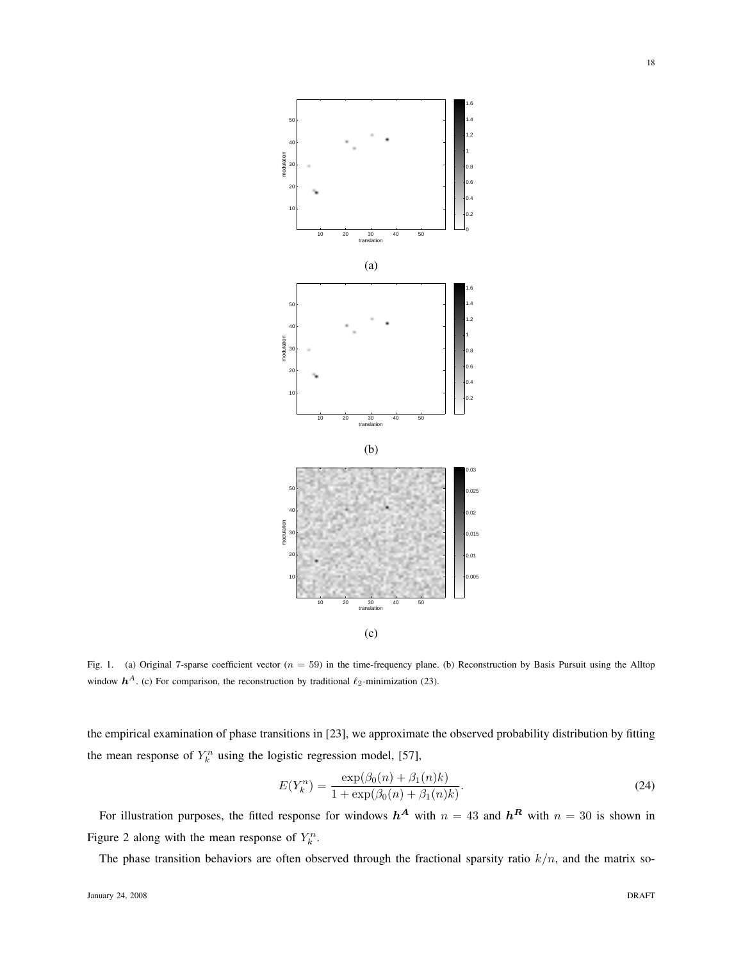

Fig. 1. (a) Original 7-sparse coefficient vector ( $n = 59$ ) in the time-frequency plane. (b) Reconstruction by Basis Pursuit using the Alltop window  $h^A$ . (c) For comparison, the reconstruction by traditional  $\ell_2$ -minimization (23).

the empirical examination of phase transitions in [23], we approximate the observed probability distribution by fitting the mean response of  $Y_k^n$  using the logistic regression model, [57],

$$
E(Y_k^n) = \frac{\exp(\beta_0(n) + \beta_1(n)k)}{1 + \exp(\beta_0(n) + \beta_1(n)k)}.
$$
\n(24)

For illustration purposes, the fitted response for windows  $h^A$  with  $n = 43$  and  $h^R$  with  $n = 30$  is shown in Figure 2 along with the mean response of  $Y_k^n$ .

The phase transition behaviors are often observed through the fractional sparsity ratio  $k/n$ , and the matrix so-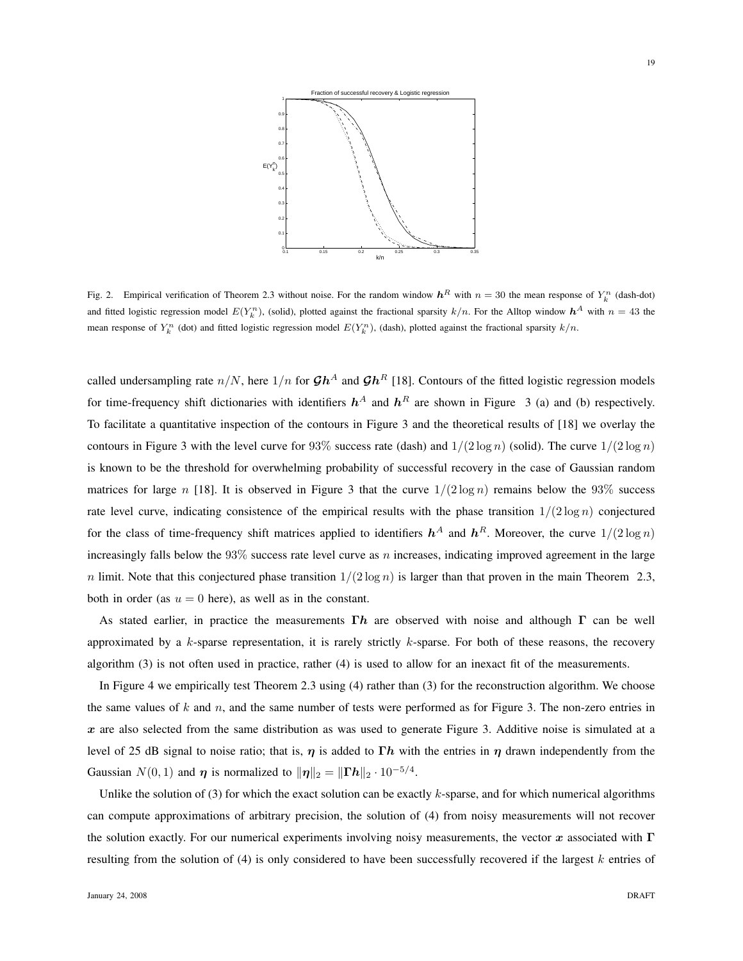

Fig. 2. Empirical verification of Theorem 2.3 without noise. For the random window  $h^R$  with  $n = 30$  the mean response of  $Y_k^n$  (dash-dot) and fitted logistic regression model  $E(Y_k^n)$ , (solid), plotted against the fractional sparsity  $k/n$ . For the Alltop window  $h^A$  with  $n = 43$  the mean response of  $Y_k^n$  (dot) and fitted logistic regression model  $E(Y_k^n)$ , (dash), plotted against the fractional sparsity  $k/n$ .

called undersampling rate  $n/N$ , here  $1/n$  for  $\mathcal{G}h^A$  and  $\mathcal{G}h^R$  [18]. Contours of the fitted logistic regression models for time-frequency shift dictionaries with identifiers  $h^A$  and  $h^R$  are shown in Figure 3 (a) and (b) respectively. To facilitate a quantitative inspection of the contours in Figure 3 and the theoretical results of [18] we overlay the contours in Figure 3 with the level curve for 93% success rate (dash) and  $1/(2 \log n)$  (solid). The curve  $1/(2 \log n)$ is known to be the threshold for overwhelming probability of successful recovery in the case of Gaussian random matrices for large n [18]. It is observed in Figure 3 that the curve  $1/(2 \log n)$  remains below the 93% success rate level curve, indicating consistence of the empirical results with the phase transition  $1/(2 \log n)$  conjectured for the class of time-frequency shift matrices applied to identifiers  $h^A$  and  $h^R$ . Moreover, the curve  $1/(2 \log n)$ increasingly falls below the  $93\%$  success rate level curve as n increases, indicating improved agreement in the large n limit. Note that this conjectured phase transition  $1/(2 \log n)$  is larger than that proven in the main Theorem 2.3, both in order (as  $u = 0$  here), as well as in the constant.

As stated earlier, in practice the measurements  $\Gamma h$  are observed with noise and although  $\Gamma$  can be well approximated by a k-sparse representation, it is rarely strictly k-sparse. For both of these reasons, the recovery algorithm (3) is not often used in practice, rather (4) is used to allow for an inexact fit of the measurements.

In Figure 4 we empirically test Theorem 2.3 using (4) rather than (3) for the reconstruction algorithm. We choose the same values of  $k$  and  $n$ , and the same number of tests were performed as for Figure 3. The non-zero entries in  $x$  are also selected from the same distribution as was used to generate Figure 3. Additive noise is simulated at a level of 25 dB signal to noise ratio; that is,  $\eta$  is added to Γh with the entries in  $\eta$  drawn independently from the Gaussian  $N(0, 1)$  and  $\eta$  is normalized to  $\|\eta\|_2 = \|\Gamma h\|_2 \cdot 10^{-5/4}$ .

Unlike the solution of (3) for which the exact solution can be exactly  $k$ -sparse, and for which numerical algorithms can compute approximations of arbitrary precision, the solution of (4) from noisy measurements will not recover the solution exactly. For our numerical experiments involving noisy measurements, the vector x associated with  $\Gamma$ resulting from the solution of (4) is only considered to have been successfully recovered if the largest  $k$  entries of

19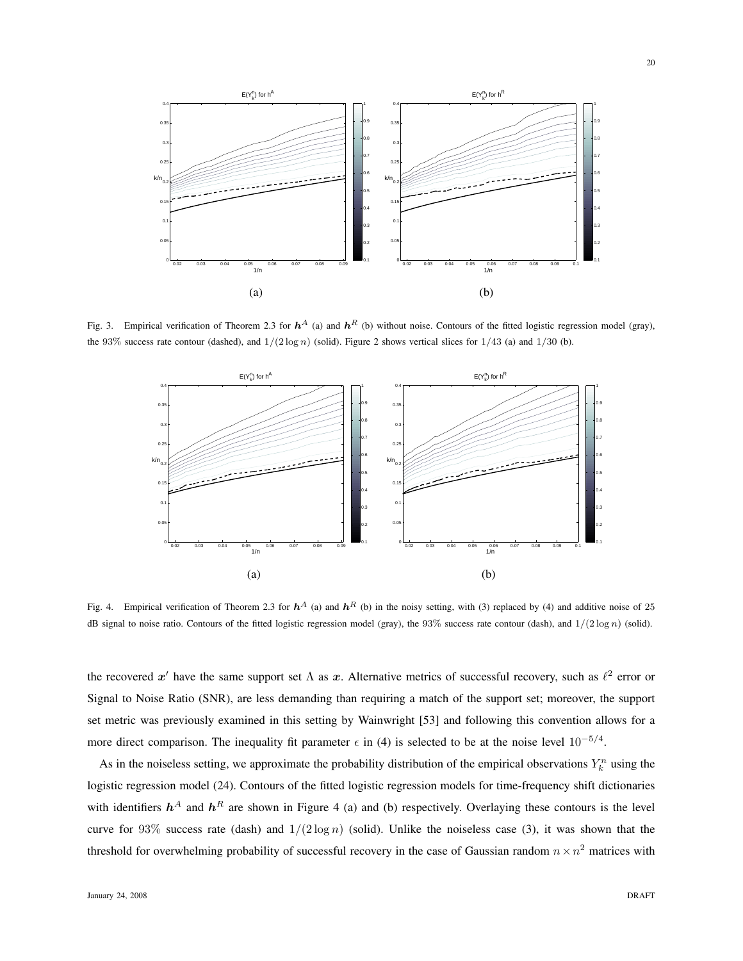

Fig. 3. Empirical verification of Theorem 2.3 for  $h^A$  (a) and  $h^R$  (b) without noise. Contours of the fitted logistic regression model (gray), the 93% success rate contour (dashed), and  $1/(2 \log n)$  (solid). Figure 2 shows vertical slices for  $1/43$  (a) and  $1/30$  (b).



Fig. 4. Empirical verification of Theorem 2.3 for  $h^A$  (a) and  $h^R$  (b) in the noisy setting, with (3) replaced by (4) and additive noise of 25 dB signal to noise ratio. Contours of the fitted logistic regression model (gray), the 93% success rate contour (dash), and  $1/(2 \log n)$  (solid).

the recovered  $x'$  have the same support set  $\Lambda$  as  $x$ . Alternative metrics of successful recovery, such as  $\ell^2$  error or Signal to Noise Ratio (SNR), are less demanding than requiring a match of the support set; moreover, the support set metric was previously examined in this setting by Wainwright [53] and following this convention allows for a more direct comparison. The inequality fit parameter  $\epsilon$  in (4) is selected to be at the noise level  $10^{-5/4}$ .

As in the noiseless setting, we approximate the probability distribution of the empirical observations  $Y_k^n$  using the logistic regression model (24). Contours of the fitted logistic regression models for time-frequency shift dictionaries with identifiers  $h^A$  and  $h^R$  are shown in Figure 4 (a) and (b) respectively. Overlaying these contours is the level curve for 93% success rate (dash) and  $1/(2 \log n)$  (solid). Unlike the noiseless case (3), it was shown that the threshold for overwhelming probability of successful recovery in the case of Gaussian random  $n \times n^2$  matrices with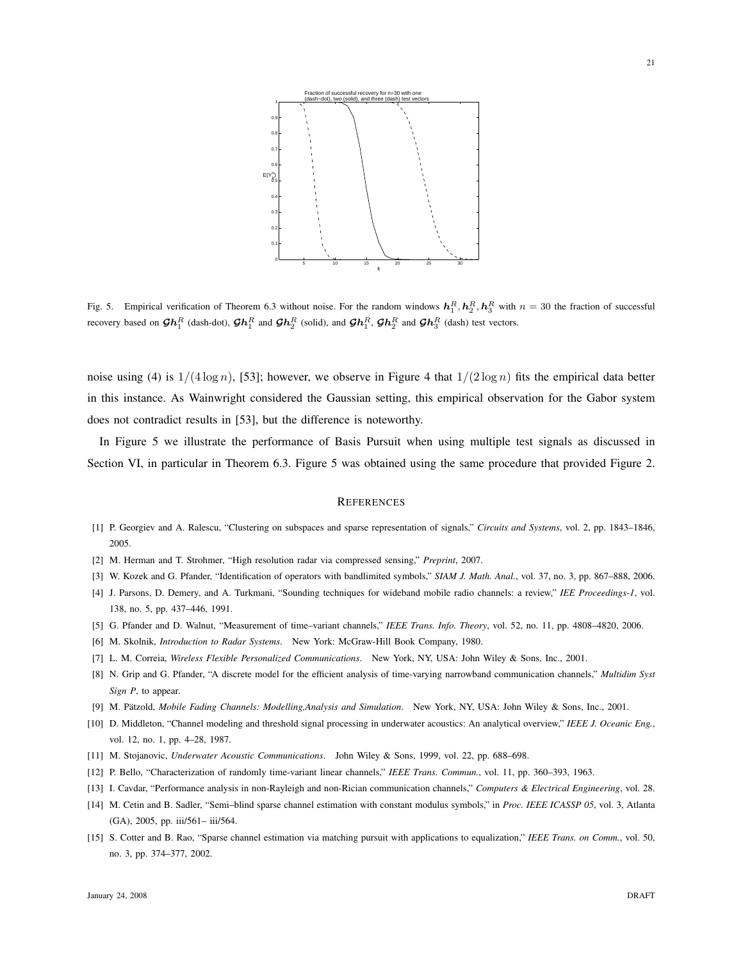

Fig. 5. Empirical verification of Theorem 6.3 without noise. For the random windows  $\mathbf{h}_1^R$ ,  $\mathbf{h}_2^R$ ,  $\mathbf{h}_3^R$  with  $n = 30$  the fraction of successful recovery based on  $\mathcal{G}\bm{h}_1^R$  (dash-dot),  $\mathcal{G}\bm{h}_1^R$  and  $\mathcal{G}\bm{h}_2^R$  (solid), and  $\mathcal{G}\bm{h}_1^R$ ,  $\mathcal{G}\bm{h}_2^R$  and  $\mathcal{G}\bm{h}_3^R$  (dash) test vectors.

noise using (4) is  $1/(4 \log n)$ , [53]; however, we observe in Figure 4 that  $1/(2 \log n)$  fits the empirical data better in this instance. As Wainwright considered the Gaussian setting, this empirical observation for the Gabor system does not contradict results in [53], but the difference is noteworthy.

In Figure 5 we illustrate the performance of Basis Pursuit when using multiple test signals as discussed in Section VI, in particular in Theorem 6.3. Figure 5 was obtained using the same procedure that provided Figure 2.

#### **REFERENCES**

- [1] P. Georgiev and A. Ralescu, "Clustering on subspaces and sparse representation of signals," *Circuits and Systems*, vol. 2, pp. 1843–1846, 2005.
- [2] M. Herman and T. Strohmer, "High resolution radar via compressed sensing," *Preprint*, 2007.
- [3] W. Kozek and G. Pfander, "Identification of operators with bandlimited symbols," *SIAM J. Math. Anal.*, vol. 37, no. 3, pp. 867–888, 2006.
- [4] J. Parsons, D. Demery, and A. Turkmani, "Sounding techniques for wideband mobile radio channels: a review," *IEE Proceedings-1*, vol. 138, no. 5, pp. 437–446, 1991.
- [5] G. Pfander and D. Walnut, "Measurement of time–variant channels," *IEEE Trans. Info. Theory*, vol. 52, no. 11, pp. 4808–4820, 2006.
- [6] M. Skolnik, *Introduction to Radar Systems*. New York: McGraw-Hill Book Company, 1980.
- [7] L. M. Correia, *Wireless Flexible Personalized Communications*. New York, NY, USA: John Wiley & Sons, Inc., 2001.
- [8] N. Grip and G. Pfander, "A discrete model for the efficient analysis of time-varying narrowband communication channels," *Multidim Syst Sign P*, to appear.
- [9] M. Pätzold, Mobile Fading Channels: Modelling,Analysis and Simulation. New York, NY, USA: John Wiley & Sons, Inc., 2001.
- [10] D. Middleton, "Channel modeling and threshold signal processing in underwater acoustics: An analytical overview," *IEEE J. Oceanic Eng.*, vol. 12, no. 1, pp. 4–28, 1987.
- [11] M. Stojanovic, *Underwater Acoustic Communications*. John Wiley & Sons, 1999, vol. 22, pp. 688–698.
- [12] P. Bello, "Characterization of randomly time-variant linear channels," *IEEE Trans. Commun.*, vol. 11, pp. 360–393, 1963.
- [13] I. Cavdar, "Performance analysis in non-Rayleigh and non-Rician communication channels," *Computers & Electrical Engineering*, vol. 28.
- [14] M. Cetin and B. Sadler, "Semi–blind sparse channel estimation with constant modulus symbols," in *Proc. IEEE ICASSP 05*, vol. 3, Atlanta (GA), 2005, pp. iii/561– iii/564.
- [15] S. Cotter and B. Rao, "Sparse channel estimation via matching pursuit with applications to equalization," *IEEE Trans. on Comm.*, vol. 50, no. 3, pp. 374–377, 2002.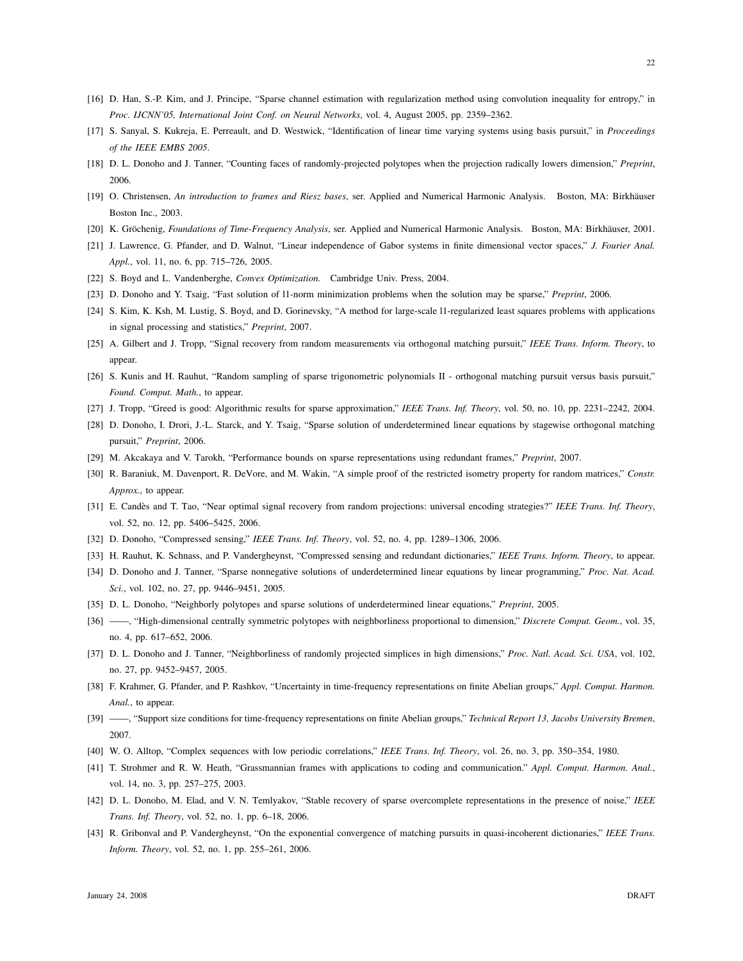22

- [16] D. Han, S.-P. Kim, and J. Principe, "Sparse channel estimation with regularization method using convolution inequality for entropy," in *Proc. IJCNN'05, International Joint Conf. on Neural Networks*, vol. 4, August 2005, pp. 2359–2362.
- [17] S. Sanyal, S. Kukreja, E. Perreault, and D. Westwick, "Identification of linear time varying systems using basis pursuit," in *Proceedings of the IEEE EMBS 2005*.
- [18] D. L. Donoho and J. Tanner, "Counting faces of randomly-projected polytopes when the projection radically lowers dimension," *Preprint*, 2006.
- [19] O. Christensen, *An introduction to frames and Riesz bases*, ser. Applied and Numerical Harmonic Analysis. Boston, MA: Birkhauser ¨ Boston Inc., 2003.
- [20] K. Gröchenig, *Foundations of Time-Frequency Analysis*, ser. Applied and Numerical Harmonic Analysis. Boston, MA: Birkhäuser, 2001.
- [21] J. Lawrence, G. Pfander, and D. Walnut, "Linear independence of Gabor systems in finite dimensional vector spaces," *J. Fourier Anal. Appl.*, vol. 11, no. 6, pp. 715–726, 2005.
- [22] S. Boyd and L. Vandenberghe, *Convex Optimization.* Cambridge Univ. Press, 2004.
- [23] D. Donoho and Y. Tsaig, "Fast solution of l1-norm minimization problems when the solution may be sparse," *Preprint*, 2006.
- [24] S. Kim, K. Ksh, M. Lustig, S. Boyd, and D. Gorinevsky, "A method for large-scale 11-regularized least squares problems with applications in signal processing and statistics," *Preprint*, 2007.
- [25] A. Gilbert and J. Tropp, "Signal recovery from random measurements via orthogonal matching pursuit," *IEEE Trans. Inform. Theory*, to appear.
- [26] S. Kunis and H. Rauhut, "Random sampling of sparse trigonometric polynomials II orthogonal matching pursuit versus basis pursuit," *Found. Comput. Math.*, to appear.
- [27] J. Tropp, "Greed is good: Algorithmic results for sparse approximation," *IEEE Trans. Inf. Theory*, vol. 50, no. 10, pp. 2231–2242, 2004.
- [28] D. Donoho, I. Drori, J.-L. Starck, and Y. Tsaig, "Sparse solution of underdetermined linear equations by stagewise orthogonal matching pursuit," *Preprint*, 2006.
- [29] M. Akcakaya and V. Tarokh, "Performance bounds on sparse representations using redundant frames," *Preprint*, 2007.
- [30] R. Baraniuk, M. Davenport, R. DeVore, and M. Wakin, "A simple proof of the restricted isometry property for random matrices," *Constr. Approx.*, to appear.
- [31] E. Candès and T. Tao, "Near optimal signal recovery from random projections: universal encoding strategies?" *IEEE Trans. Inf. Theory*, vol. 52, no. 12, pp. 5406–5425, 2006.
- [32] D. Donoho, "Compressed sensing," *IEEE Trans. Inf. Theory*, vol. 52, no. 4, pp. 1289–1306, 2006.
- [33] H. Rauhut, K. Schnass, and P. Vandergheynst, "Compressed sensing and redundant dictionaries," *IEEE Trans. Inform. Theory*, to appear.
- [34] D. Donoho and J. Tanner, "Sparse nonnegative solutions of underdetermined linear equations by linear programming," *Proc. Nat. Acad. Sci.*, vol. 102, no. 27, pp. 9446–9451, 2005.
- [35] D. L. Donoho, "Neighborly polytopes and sparse solutions of underdetermined linear equations," *Preprint*, 2005.
- [36] ——, "High-dimensional centrally symmetric polytopes with neighborliness proportional to dimension," *Discrete Comput. Geom.*, vol. 35, no. 4, pp. 617–652, 2006.
- [37] D. L. Donoho and J. Tanner, "Neighborliness of randomly projected simplices in high dimensions," *Proc. Natl. Acad. Sci. USA*, vol. 102, no. 27, pp. 9452–9457, 2005.
- [38] F. Krahmer, G. Pfander, and P. Rashkov, "Uncertainty in time-frequency representations on finite Abelian groups," *Appl. Comput. Harmon. Anal.*, to appear.
- [39] ——, "Support size conditions for time-frequency representations on finite Abelian groups," *Technical Report 13, Jacobs University Bremen*, 2007.
- [40] W. O. Alltop, "Complex sequences with low periodic correlations," *IEEE Trans. Inf. Theory*, vol. 26, no. 3, pp. 350–354, 1980.
- [41] T. Strohmer and R. W. Heath, "Grassmannian frames with applications to coding and communication." *Appl. Comput. Harmon. Anal.*, vol. 14, no. 3, pp. 257–275, 2003.
- [42] D. L. Donoho, M. Elad, and V. N. Temlyakov, "Stable recovery of sparse overcomplete representations in the presence of noise," *IEEE Trans. Inf. Theory*, vol. 52, no. 1, pp. 6–18, 2006.
- [43] R. Gribonval and P. Vandergheynst, "On the exponential convergence of matching pursuits in quasi-incoherent dictionaries," *IEEE Trans. Inform. Theory*, vol. 52, no. 1, pp. 255–261, 2006.